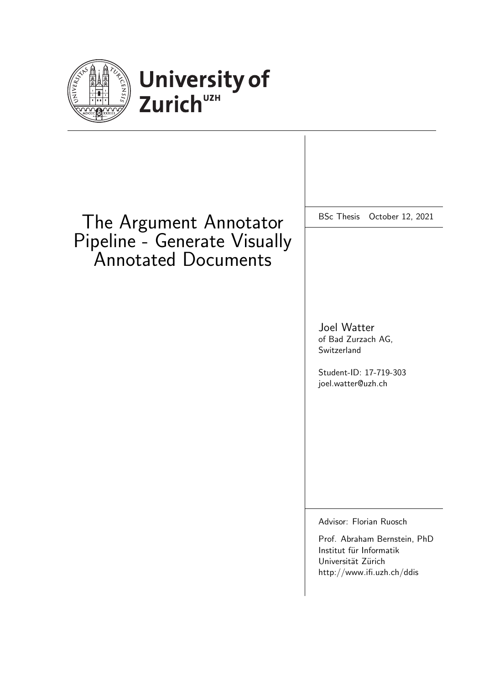

# University of<br>Zurich<sup>UZH</sup>

# The Argument Annotator Pipeline - Generate Visually Annotated Documents

BSc Thesis October 12, 2021

Joel Watter of Bad Zurzach AG, Switzerland

Student-ID: 17-719-303 joel.watter@uzh.ch

Advisor: Florian Ruosch

Prof. Abraham Bernstein, PhD Institut für Informatik Universität Zürich http://www.ifi.uzh.ch/ddis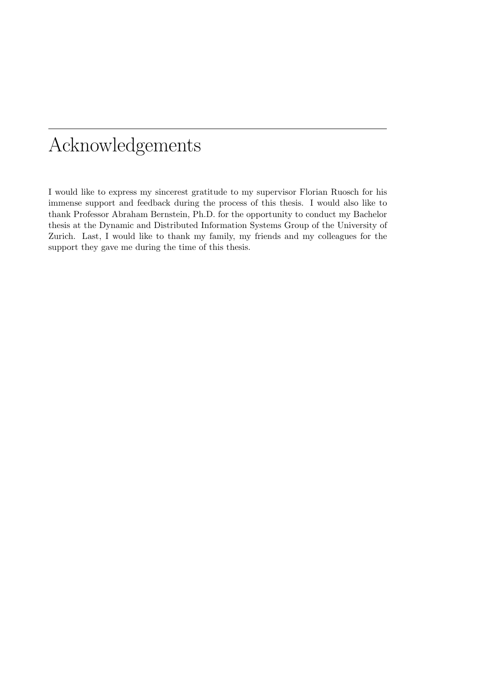# Acknowledgements

I would like to express my sincerest gratitude to my supervisor Florian Ruosch for his immense support and feedback during the process of this thesis. I would also like to thank Professor Abraham Bernstein, Ph.D. for the opportunity to conduct my Bachelor thesis at the Dynamic and Distributed Information Systems Group of the University of Zurich. Last, I would like to thank my family, my friends and my colleagues for the support they gave me during the time of this thesis.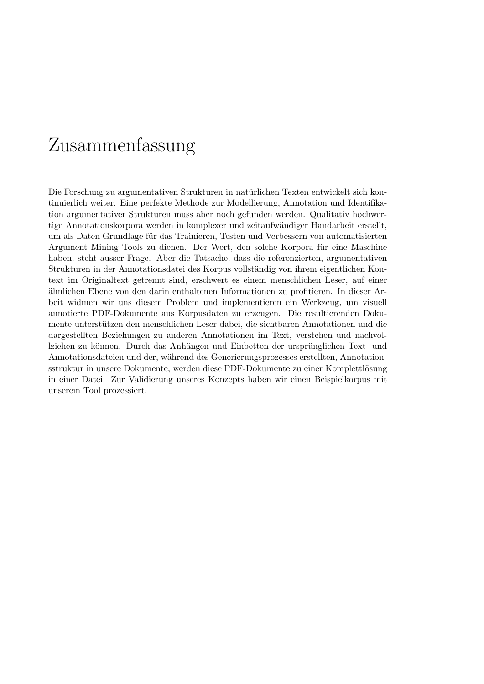# Zusammenfassung

Die Forschung zu argumentativen Strukturen in natürlichen Texten entwickelt sich kontinuierlich weiter. Eine perfekte Methode zur Modellierung, Annotation und Identifikation argumentativer Strukturen muss aber noch gefunden werden. Qualitativ hochwertige Annotationskorpora werden in komplexer und zeitaufwändiger Handarbeit erstellt, um als Daten Grundlage für das Trainieren, Testen und Verbessern von automatisierten Argument Mining Tools zu dienen. Der Wert, den solche Korpora für eine Maschine haben, steht ausser Frage. Aber die Tatsache, dass die referenzierten, argumentativen Strukturen in der Annotationsdatei des Korpus vollständig von ihrem eigentlichen Kontext im Originaltext getrennt sind, erschwert es einem menschlichen Leser, auf einer ¨ahnlichen Ebene von den darin enthaltenen Informationen zu profitieren. In dieser Arbeit widmen wir uns diesem Problem und implementieren ein Werkzeug, um visuell annotierte PDF-Dokumente aus Korpusdaten zu erzeugen. Die resultierenden Dokumente unterstützen den menschlichen Leser dabei, die sichtbaren Annotationen und die dargestellten Beziehungen zu anderen Annotationen im Text, verstehen und nachvollziehen zu können. Durch das Anhängen und Einbetten der ursprünglichen Text- und Annotationsdateien und der, während des Generierungsprozesses erstellten, Annotationsstruktur in unsere Dokumente, werden diese PDF-Dokumente zu einer Komplettlösung in einer Datei. Zur Validierung unseres Konzepts haben wir einen Beispielkorpus mit unserem Tool prozessiert.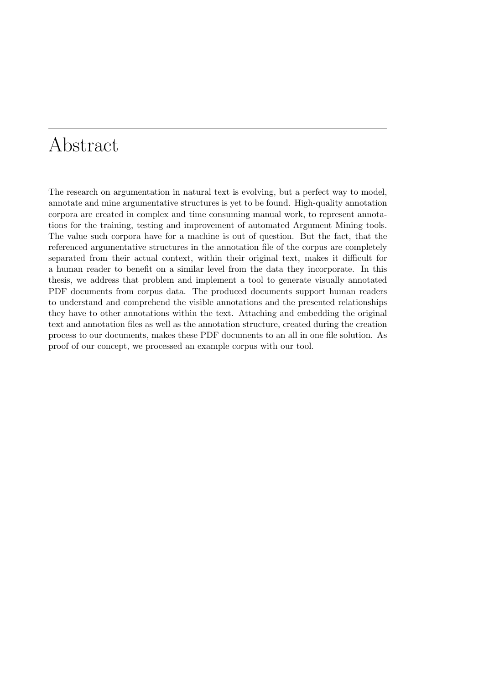# Abstract

The research on argumentation in natural text is evolving, but a perfect way to model, annotate and mine argumentative structures is yet to be found. High-quality annotation corpora are created in complex and time consuming manual work, to represent annotations for the training, testing and improvement of automated Argument Mining tools. The value such corpora have for a machine is out of question. But the fact, that the referenced argumentative structures in the annotation file of the corpus are completely separated from their actual context, within their original text, makes it difficult for a human reader to benefit on a similar level from the data they incorporate. In this thesis, we address that problem and implement a tool to generate visually annotated PDF documents from corpus data. The produced documents support human readers to understand and comprehend the visible annotations and the presented relationships they have to other annotations within the text. Attaching and embedding the original text and annotation files as well as the annotation structure, created during the creation process to our documents, makes these PDF documents to an all in one file solution. As proof of our concept, we processed an example corpus with our tool.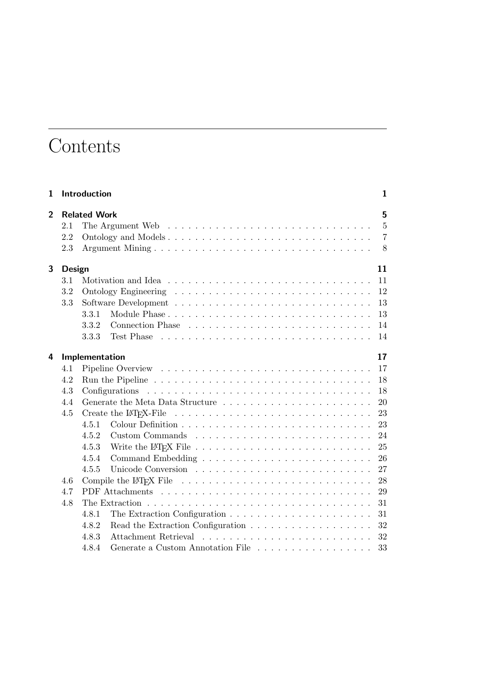# **Contents**

| 1              |               | Introduction        |                                                                                                        | $\mathbf{1}$   |
|----------------|---------------|---------------------|--------------------------------------------------------------------------------------------------------|----------------|
| $\overline{2}$ |               | <b>Related Work</b> |                                                                                                        | 5              |
|                | 2.1           |                     |                                                                                                        | 5              |
|                | 2.2           |                     | Ontology and Models                                                                                    | $\overline{7}$ |
|                | 2.3           |                     |                                                                                                        | 8              |
| 3              |               |                     |                                                                                                        | 11             |
|                | Design<br>3.1 |                     |                                                                                                        | 11             |
|                | 3.2           |                     |                                                                                                        | 12             |
|                | 3.3           |                     |                                                                                                        | 13             |
|                |               | 3.3.1               |                                                                                                        | 13             |
|                |               | 3.3.2               |                                                                                                        |                |
|                |               | 3.3.3               |                                                                                                        | 14             |
|                |               |                     | Test Phase $\ldots \ldots \ldots \ldots \ldots \ldots \ldots \ldots \ldots \ldots$                     | 14             |
| 4              |               | Implementation      |                                                                                                        | 17             |
|                | 4.1           |                     |                                                                                                        | 17             |
|                | 4.2           |                     |                                                                                                        | 18             |
|                | 4.3           |                     |                                                                                                        | 18             |
|                | 4.4           |                     |                                                                                                        | 20             |
|                | 4.5           |                     | Create the LAT <sub>F</sub> X-File $\dots \dots \dots \dots \dots \dots \dots \dots \dots \dots \dots$ | 23             |
|                |               | 4.5.1               |                                                                                                        | 23             |
|                |               | 4.5.2               |                                                                                                        | 24             |
|                |               | 4.5.3               | Write the LAT <sub>F</sub> X File $\ldots \ldots \ldots \ldots \ldots \ldots \ldots \ldots$            | 25             |
|                |               | 4.5.4               |                                                                                                        | 26             |
|                |               | 4.5.5               |                                                                                                        | 27             |
|                | 4.6           |                     |                                                                                                        | -28            |
|                | 4.7           |                     |                                                                                                        | 29             |
|                | 4.8           |                     |                                                                                                        | 31             |
|                |               | 4.8.1               |                                                                                                        | 31             |
|                |               | 4.8.2               |                                                                                                        | 32             |
|                |               | 4.8.3               |                                                                                                        | 32             |
|                |               | 4.8.4               | Generate a Custom Annotation File                                                                      | 33             |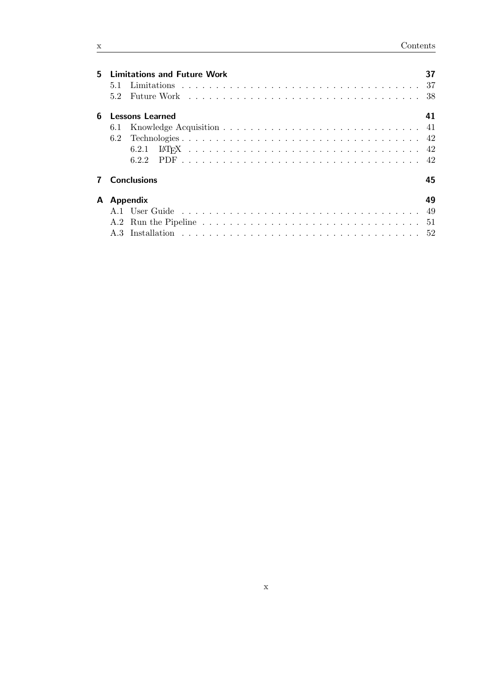| 5. | <b>Limitations and Future Work</b> |                        |    |  |  |  |  |  |
|----|------------------------------------|------------------------|----|--|--|--|--|--|
|    | 5.1                                |                        |    |  |  |  |  |  |
|    | 5.2                                |                        |    |  |  |  |  |  |
| 6  |                                    | <b>Lessons Learned</b> | 41 |  |  |  |  |  |
|    |                                    |                        |    |  |  |  |  |  |
|    |                                    |                        |    |  |  |  |  |  |
|    |                                    | 6.2.1                  |    |  |  |  |  |  |
|    |                                    |                        |    |  |  |  |  |  |
|    |                                    | <b>Conclusions</b>     | 45 |  |  |  |  |  |
| A  | Appendix                           |                        |    |  |  |  |  |  |
|    |                                    |                        |    |  |  |  |  |  |
|    |                                    |                        |    |  |  |  |  |  |
|    |                                    |                        |    |  |  |  |  |  |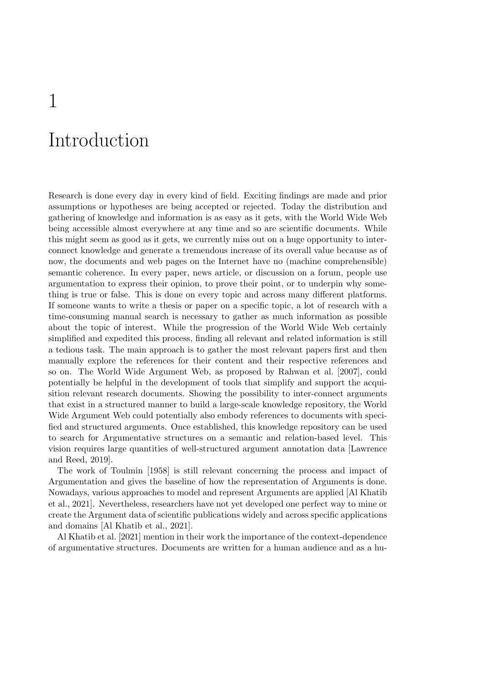# Introduction

<span id="page-10-0"></span>1

Research is done every day in every kind of field. Exciting findings are made and prior assumptions or hypotheses are being accepted or rejected. Today the distribution and gathering of knowledge and information is as easy as it gets, with the World Wide Web being accessible almost everywhere at any time and so are scientific documents. While this might seem as good as it gets, we currently miss out on a huge opportunity to interconnect knowledge and generate a tremendous increase of its overall value because as of now, the documents and web pages on the Internet have no (machine comprehensible) semantic coherence. In every paper, news article, or discussion on a forum, people use argumentation to express their opinion, to prove their point, or to underpin why something is true or false. This is done on every topic and across many different platforms. If someone wants to write a thesis or paper on a specific topic, a lot of research with a time-consuming manual search is necessary to gather as much information as possible about the topic of interest. While the progression of the World Wide Web certainly simplified and expedited this process, finding all relevant and related information is still a tedious task. The main approach is to gather the most relevant papers first and then manually explore the references for their content and their respective references and so on. The World Wide Argument Web, as proposed by [Rahwan et al.](#page-57-0) [\[2007\]](#page-57-0), could potentially be helpful in the development of tools that simplify and support the acquisition relevant research documents. Showing the possibility to inter-connect arguments that exist in a structured manner to build a large-scale knowledge repository, the World Wide Argument Web could potentially also embody references to documents with specified and structured arguments. Once established, this knowledge repository can be used to search for Argumentative structures on a semantic and relation-based level. This vision requires large quantities of well-structured argument annotation data [\[Lawrence](#page-56-0) [and Reed,](#page-56-0) [2019\]](#page-56-0).

The work of [Toulmin](#page-57-1) [\[1958\]](#page-57-1) is still relevant concerning the process and impact of Argumentation and gives the baseline of how the representation of Arguments is done. Nowadays, various approaches to model and represent Arguments are applied [\[Al Khatib](#page-56-1) [et al.,](#page-56-1) [2021\]](#page-56-1). Nevertheless, researchers have not yet developed one perfect way to mine or create the Argument data of scientific publications widely and across specific applications and domains [\[Al Khatib et al.,](#page-56-1) [2021\]](#page-56-1).

[Al Khatib et al.](#page-56-1) [\[2021\]](#page-56-1) mention in their work the importance of the context-dependence of argumentative structures. Documents are written for a human audience and as a hu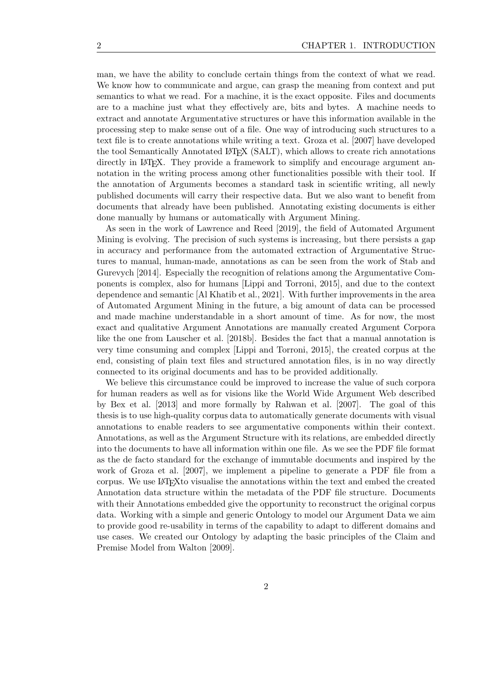man, we have the ability to conclude certain things from the context of what we read. We know how to communicate and argue, can grasp the meaning from context and put semantics to what we read. For a machine, it is the exact opposite. Files and documents are to a machine just what they effectively are, bits and bytes. A machine needs to extract and annotate Argumentative structures or have this information available in the processing step to make sense out of a file. One way of introducing such structures to a text file is to create annotations while writing a text. [Groza et al.](#page-56-2) [\[2007\]](#page-56-2) have developed the tool Semantically Annotated LATEX (SALT), which allows to create rich annotations directly in LAT<sub>EX</sub>. They provide a framework to simplify and encourage argument annotation in the writing process among other functionalities possible with their tool. If the annotation of Arguments becomes a standard task in scientific writing, all newly published documents will carry their respective data. But we also want to benefit from documents that already have been published. Annotating existing documents is either done manually by humans or automatically with Argument Mining.

As seen in the work of [Lawrence and Reed](#page-56-0) [\[2019\]](#page-56-0), the field of Automated Argument Mining is evolving. The precision of such systems is increasing, but there persists a gap in accuracy and performance from the automated extraction of Argumentative Structures to manual, human-made, annotations as can be seen from the work of [Stab and](#page-57-2) [Gurevych](#page-57-2) [\[2014\]](#page-57-2). Especially the recognition of relations among the Argumentative Components is complex, also for humans [\[Lippi and Torroni,](#page-56-3) [2015\]](#page-56-3), and due to the context dependence and semantic [\[Al Khatib et al.,](#page-56-1) [2021\]](#page-56-1). With further improvements in the area of Automated Argument Mining in the future, a big amount of data can be processed and made machine understandable in a short amount of time. As for now, the most exact and qualitative Argument Annotations are manually created Argument Corpora like the one from [Lauscher et al.](#page-56-4) [\[2018b\]](#page-56-4). Besides the fact that a manual annotation is very time consuming and complex [\[Lippi and Torroni,](#page-56-3) [2015\]](#page-56-3), the created corpus at the end, consisting of plain text files and structured annotation files, is in no way directly connected to its original documents and has to be provided additionally.

We believe this circumstance could be improved to increase the value of such corpora for human readers as well as for visions like the World Wide Argument Web described by [Bex et al.](#page-56-5) [\[2013\]](#page-56-5) and more formally by [Rahwan et al.](#page-57-0) [\[2007\]](#page-57-0). The goal of this thesis is to use high-quality corpus data to automatically generate documents with visual annotations to enable readers to see argumentative components within their context. Annotations, as well as the Argument Structure with its relations, are embedded directly into the documents to have all information within one file. As we see the PDF file format as the de facto standard for the exchange of immutable documents and inspired by the work of [Groza et al.](#page-56-2) [\[2007\]](#page-56-2), we implement a pipeline to generate a PDF file from a corpus. We use LATEXto visualise the annotations within the text and embed the created Annotation data structure within the metadata of the PDF file structure. Documents with their Annotations embedded give the opportunity to reconstruct the original corpus data. Working with a simple and generic Ontology to model our Argument Data we aim to provide good re-usability in terms of the capability to adapt to different domains and use cases. We created our Ontology by adapting the basic principles of the Claim and Premise Model from [Walton](#page-57-3) [\[2009\]](#page-57-3).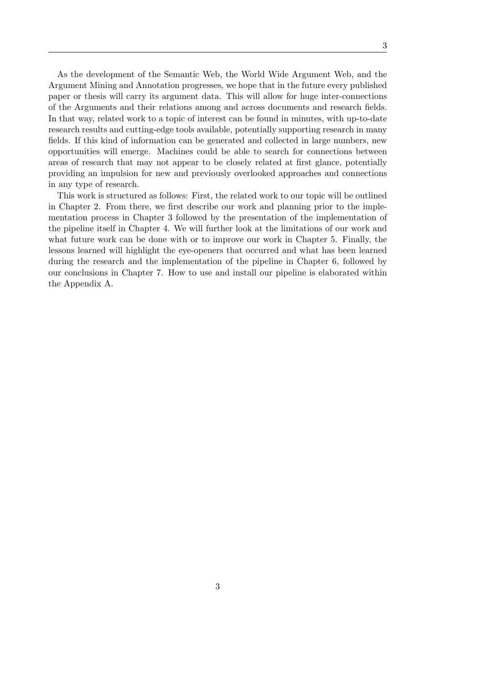As the development of the Semantic Web, the World Wide Argument Web, and the Argument Mining and Annotation progresses, we hope that in the future every published paper or thesis will carry its argument data. This will allow for huge inter-connections of the Arguments and their relations among and across documents and research fields. In that way, related work to a topic of interest can be found in minutes, with up-to-date research results and cutting-edge tools available, potentially supporting research in many fields. If this kind of information can be generated and collected in large numbers, new opportunities will emerge. Machines could be able to search for connections between areas of research that may not appear to be closely related at first glance, potentially providing an impulsion for new and previously overlooked approaches and connections in any type of research.

This work is structured as follows: First, the related work to our topic will be outlined in Chapter [2.](#page-14-0) From there, we first describe our work and planning prior to the implementation process in Chapter [3](#page-20-0) followed by the presentation of the implementation of the pipeline itself in Chapter [4.](#page-26-0) We will further look at the limitations of our work and what future work can be done with or to improve our work in Chapter [5.](#page-46-0) Finally, the lessons learned will highlight the eye-openers that occurred and what has been learned during the research and the implementation of the pipeline in Chapter [6,](#page-50-0) followed by our conclusions in Chapter [7.](#page-54-0) How to use and install our pipeline is elaborated within the Appendix [A.](#page-58-0)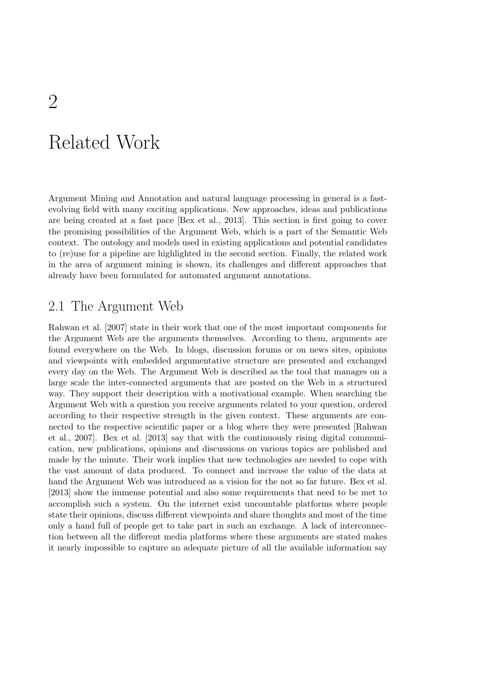# <span id="page-14-0"></span>Related Work

Argument Mining and Annotation and natural language processing in general is a fastevolving field with many exciting applications. New approaches, ideas and publications are being created at a fast pace [\[Bex et al.,](#page-56-5) [2013\]](#page-56-5). This section is first going to cover the promising possibilities of the Argument Web, which is a part of the Semantic Web context. The ontology and models used in existing applications and potential candidates to (re)use for a pipeline are highlighted in the second section. Finally, the related work in the area of argument mining is shown, its challenges and different approaches that already have been formulated for automated argument annotations.

### <span id="page-14-1"></span>2.1 The Argument Web

[Rahwan et al.](#page-57-0) [\[2007\]](#page-57-0) state in their work that one of the most important components for the Argument Web are the arguments themselves. According to them, arguments are found everywhere on the Web. In blogs, discussion forums or on news sites, opinions and viewpoints with embedded argumentative structure are presented and exchanged every day on the Web. The Argument Web is described as the tool that manages on a large scale the inter-connected arguments that are posted on the Web in a structured way. They support their description with a motivational example. When searching the Argument Web with a question you receive arguments related to your question, ordered according to their respective strength in the given context. These arguments are connected to the respective scientific paper or a blog where they were presented [\[Rahwan](#page-57-0) [et al.,](#page-57-0) [2007\]](#page-57-0). [Bex et al.](#page-56-5) [\[2013\]](#page-56-5) say that with the continuously rising digital communication, new publications, opinions and discussions on various topics are published and made by the minute. Their work implies that new technologies are needed to cope with the vast amount of data produced. To connect and increase the value of the data at hand the Argument Web was introduced as a vision for the not so far future. [Bex et al.](#page-56-5) [\[2013\]](#page-56-5) show the immense potential and also some requirements that need to be met to accomplish such a system. On the internet exist uncountable platforms where people state their opinions, discuss different viewpoints and share thoughts and most of the time only a hand full of people get to take part in such an exchange. A lack of interconnection between all the different media platforms where these arguments are stated makes it nearly impossible to capture an adequate picture of all the available information say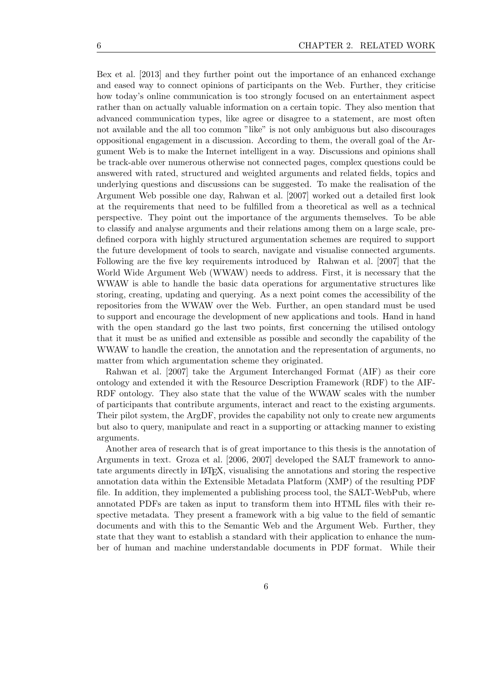[Bex et al.](#page-56-5) [\[2013\]](#page-56-5) and they further point out the importance of an enhanced exchange and eased way to connect opinions of participants on the Web. Further, they criticise how today's online communication is too strongly focused on an entertainment aspect rather than on actually valuable information on a certain topic. They also mention that advanced communication types, like agree or disagree to a statement, are most often not available and the all too common "like" is not only ambiguous but also discourages oppositional engagement in a discussion. According to them, the overall goal of the Argument Web is to make the Internet intelligent in a way. Discussions and opinions shall be track-able over numerous otherwise not connected pages, complex questions could be answered with rated, structured and weighted arguments and related fields, topics and underlying questions and discussions can be suggested. To make the realisation of the Argument Web possible one day, [Rahwan et al.](#page-57-0) [\[2007\]](#page-57-0) worked out a detailed first look at the requirements that need to be fulfilled from a theoretical as well as a technical perspective. They point out the importance of the arguments themselves. To be able to classify and analyse arguments and their relations among them on a large scale, predefined corpora with highly structured argumentation schemes are required to support the future development of tools to search, navigate and visualise connected arguments. Following are the five key requirements introduced by [Rahwan et al.](#page-57-0) [\[2007\]](#page-57-0) that the World Wide Argument Web (WWAW) needs to address. First, it is necessary that the WWAW is able to handle the basic data operations for argumentative structures like storing, creating, updating and querying. As a next point comes the accessibility of the repositories from the WWAW over the Web. Further, an open standard must be used to support and encourage the development of new applications and tools. Hand in hand with the open standard go the last two points, first concerning the utilised ontology that it must be as unified and extensible as possible and secondly the capability of the WWAW to handle the creation, the annotation and the representation of arguments, no matter from which argumentation scheme they originated.

[Rahwan et al.](#page-57-0) [\[2007\]](#page-57-0) take the Argument Interchanged Format (AIF) as their core ontology and extended it with the Resource Description Framework (RDF) to the AIF-RDF ontology. They also state that the value of the WWAW scales with the number of participants that contribute arguments, interact and react to the existing arguments. Their pilot system, the ArgDF, provides the capability not only to create new arguments but also to query, manipulate and react in a supporting or attacking manner to existing arguments.

Another area of research that is of great importance to this thesis is the annotation of Arguments in text. [Groza et al.](#page-56-6) [\[2006,](#page-56-6) [2007\]](#page-56-2) developed the SALT framework to annotate arguments directly in LATEX, visualising the annotations and storing the respective annotation data within the Extensible Metadata Platform (XMP) of the resulting PDF file. In addition, they implemented a publishing process tool, the SALT-WebPub, where annotated PDFs are taken as input to transform them into HTML files with their respective metadata. They present a framework with a big value to the field of semantic documents and with this to the Semantic Web and the Argument Web. Further, they state that they want to establish a standard with their application to enhance the number of human and machine understandable documents in PDF format. While their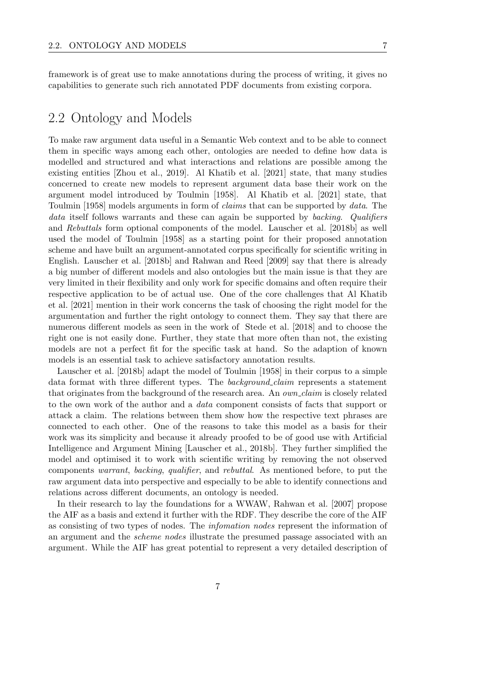framework is of great use to make annotations during the process of writing, it gives no capabilities to generate such rich annotated PDF documents from existing corpora.

### <span id="page-16-0"></span>2.2 Ontology and Models

To make raw argument data useful in a Semantic Web context and to be able to connect them in specific ways among each other, ontologies are needed to define how data is modelled and structured and what interactions and relations are possible among the existing entities [\[Zhou et al.,](#page-57-4) [2019\]](#page-57-4). [Al Khatib et al.](#page-56-1) [\[2021\]](#page-56-1) state, that many studies concerned to create new models to represent argument data base their work on the argument model introduced by [Toulmin](#page-57-1) [\[1958\]](#page-57-1). [Al Khatib et al.](#page-56-1) [\[2021\]](#page-56-1) state, that [Toulmin](#page-57-1) [\[1958\]](#page-57-1) models arguments in form of claims that can be supported by data. The data itself follows warrants and these can again be supported by backing. Qualifiers and Rebuttals form optional components of the model. [Lauscher et al.](#page-56-4) [\[2018b\]](#page-56-4) as well used the model of [Toulmin](#page-57-1) [\[1958\]](#page-57-1) as a starting point for their proposed annotation scheme and have built an argument-annotated corpus specifically for scientific writing in English. [Lauscher et al.](#page-56-4) [\[2018b\]](#page-56-4) and [Rahwan and Reed](#page-57-5) [\[2009\]](#page-57-5) say that there is already a big number of different models and also ontologies but the main issue is that they are very limited in their flexibility and only work for specific domains and often require their respective application to be of actual use. One of the core challenges that [Al Khatib](#page-56-1) [et al.](#page-56-1) [\[2021\]](#page-56-1) mention in their work concerns the task of choosing the right model for the argumentation and further the right ontology to connect them. They say that there are numerous different models as seen in the work of [Stede et al.](#page-57-6) [\[2018\]](#page-57-6) and to choose the right one is not easily done. Further, they state that more often than not, the existing models are not a perfect fit for the specific task at hand. So the adaption of known models is an essential task to achieve satisfactory annotation results.

[Lauscher et al.](#page-56-4) [\[2018b\]](#page-56-4) adapt the model of [Toulmin](#page-57-1) [\[1958\]](#page-57-1) in their corpus to a simple data format with three different types. The *background\_claim* represents a statement that originates from the background of the research area. An *own\_claim* is closely related to the own work of the author and a data component consists of facts that support or attack a claim. The relations between them show how the respective text phrases are connected to each other. One of the reasons to take this model as a basis for their work was its simplicity and because it already proofed to be of good use with Artificial Intelligence and Argument Mining [\[Lauscher et al.,](#page-56-4) [2018b\]](#page-56-4). They further simplified the model and optimised it to work with scientific writing by removing the not observed components warrant, backing, qualifier, and rebuttal. As mentioned before, to put the raw argument data into perspective and especially to be able to identify connections and relations across different documents, an ontology is needed.

In their research to lay the foundations for a WWAW, [Rahwan et al.](#page-57-0) [\[2007\]](#page-57-0) propose the AIF as a basis and extend it further with the RDF. They describe the core of the AIF as consisting of two types of nodes. The infomation nodes represent the information of an argument and the scheme nodes illustrate the presumed passage associated with an argument. While the AIF has great potential to represent a very detailed description of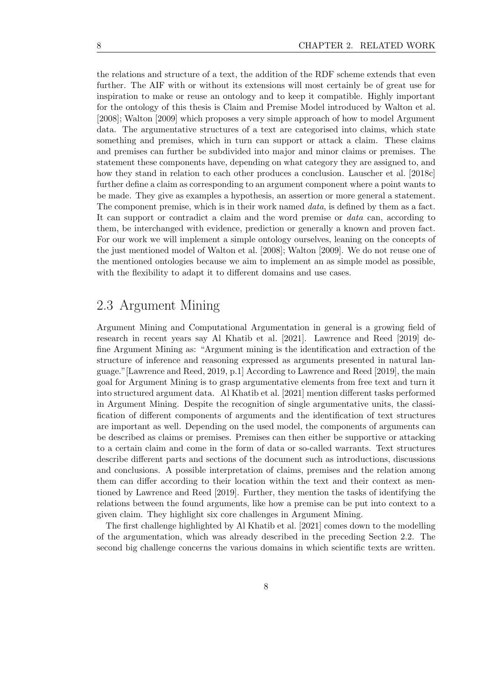the relations and structure of a text, the addition of the RDF scheme extends that even further. The AIF with or without its extensions will most certainly be of great use for inspiration to make or reuse an ontology and to keep it compatible. Highly important for the ontology of this thesis is Claim and Premise Model introduced by [Walton et al.](#page-57-7) [\[2008\]](#page-57-7); [Walton](#page-57-3) [\[2009\]](#page-57-3) which proposes a very simple approach of how to model Argument data. The argumentative structures of a text are categorised into claims, which state something and premises, which in turn can support or attack a claim. These claims and premises can further be subdivided into major and minor claims or premises. The statement these components have, depending on what category they are assigned to, and how they stand in relation to each other produces a conclusion. [Lauscher et al.](#page-56-7) [\[2018c\]](#page-56-7) further define a claim as corresponding to an argument component where a point wants to be made. They give as examples a hypothesis, an assertion or more general a statement. The component premise, which is in their work named *data*, is defined by them as a fact. It can support or contradict a claim and the word premise or data can, according to them, be interchanged with evidence, prediction or generally a known and proven fact. For our work we will implement a simple ontology ourselves, leaning on the concepts of the just mentioned model of [Walton et al.](#page-57-7) [\[2008\]](#page-57-7); [Walton](#page-57-3) [\[2009\]](#page-57-3). We do not reuse one of the mentioned ontologies because we aim to implement an as simple model as possible, with the flexibility to adapt it to different domains and use cases.

### <span id="page-17-0"></span>2.3 Argument Mining

Argument Mining and Computational Argumentation in general is a growing field of research in recent years say [Al Khatib et al.](#page-56-1) [\[2021\]](#page-56-1). [Lawrence and Reed](#page-56-0) [\[2019\]](#page-56-0) define Argument Mining as: "Argument mining is the identification and extraction of the structure of inference and reasoning expressed as arguments presented in natural language."[\[Lawrence and Reed,](#page-56-0) [2019,](#page-56-0) p.1] According to [Lawrence and Reed](#page-56-0) [\[2019\]](#page-56-0), the main goal for Argument Mining is to grasp argumentative elements from free text and turn it into structured argument data. [Al Khatib et al.](#page-56-1) [\[2021\]](#page-56-1) mention different tasks performed in Argument Mining. Despite the recognition of single argumentative units, the classification of different components of arguments and the identification of text structures are important as well. Depending on the used model, the components of arguments can be described as claims or premises. Premises can then either be supportive or attacking to a certain claim and come in the form of data or so-called warrants. Text structures describe different parts and sections of the document such as introductions, discussions and conclusions. A possible interpretation of claims, premises and the relation among them can differ according to their location within the text and their context as mentioned by [Lawrence and Reed](#page-56-0) [\[2019\]](#page-56-0). Further, they mention the tasks of identifying the relations between the found arguments, like how a premise can be put into context to a given claim. They highlight six core challenges in Argument Mining.

The first challenge highlighted by [Al Khatib et al.](#page-56-1) [\[2021\]](#page-56-1) comes down to the modelling of the argumentation, which was already described in the preceding Section [2.2.](#page-16-0) The second big challenge concerns the various domains in which scientific texts are written.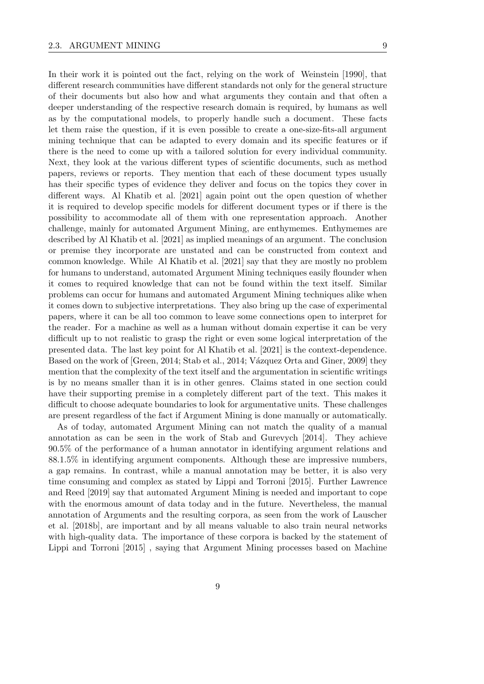In their work it is pointed out the fact, relying on the work of [Weinstein](#page-57-8) [\[1990\]](#page-57-8), that different research communities have different standards not only for the general structure of their documents but also how and what arguments they contain and that often a deeper understanding of the respective research domain is required, by humans as well as by the computational models, to properly handle such a document. These facts let them raise the question, if it is even possible to create a one-size-fits-all argument mining technique that can be adapted to every domain and its specific features or if there is the need to come up with a tailored solution for every individual community. Next, they look at the various different types of scientific documents, such as method papers, reviews or reports. They mention that each of these document types usually has their specific types of evidence they deliver and focus on the topics they cover in different ways. [Al Khatib et al.](#page-56-1) [\[2021\]](#page-56-1) again point out the open question of whether it is required to develop specific models for different document types or if there is the possibility to accommodate all of them with one representation approach. Another challenge, mainly for automated Argument Mining, are enthymemes. Enthymemes are described by [Al Khatib et al.](#page-56-1) [\[2021\]](#page-56-1) as implied meanings of an argument. The conclusion or premise they incorporate are unstated and can be constructed from context and common knowledge. While [Al Khatib et al.](#page-56-1) [\[2021\]](#page-56-1) say that they are mostly no problem for humans to understand, automated Argument Mining techniques easily flounder when it comes to required knowledge that can not be found within the text itself. Similar problems can occur for humans and automated Argument Mining techniques alike when it comes down to subjective interpretations. They also bring up the case of experimental papers, where it can be all too common to leave some connections open to interpret for the reader. For a machine as well as a human without domain expertise it can be very difficult up to not realistic to grasp the right or even some logical interpretation of the presented data. The last key point for [Al Khatib et al.](#page-56-1) [\[2021\]](#page-56-1) is the context-dependence. Based on the work of [\[Green,](#page-56-8) [2014;](#page-57-9) [Stab et al.,](#page-57-9) 2014; Vázquez Orta and Giner, [2009\]](#page-57-10) they mention that the complexity of the text itself and the argumentation in scientific writings is by no means smaller than it is in other genres. Claims stated in one section could have their supporting premise in a completely different part of the text. This makes it difficult to choose adequate boundaries to look for argumentative units. These challenges are present regardless of the fact if Argument Mining is done manually or automatically.

As of today, automated Argument Mining can not match the quality of a manual annotation as can be seen in the work of [Stab and Gurevych](#page-57-2) [\[2014\]](#page-57-2). They achieve 90.5% of the performance of a human annotator in identifying argument relations and 88.1.5% in identifying argument components. Although these are impressive numbers, a gap remains. In contrast, while a manual annotation may be better, it is also very time consuming and complex as stated by [Lippi and Torroni](#page-56-3) [\[2015\]](#page-56-3). Further [Lawrence](#page-56-0) [and Reed](#page-56-0) [\[2019\]](#page-56-0) say that automated Argument Mining is needed and important to cope with the enormous amount of data today and in the future. Nevertheless, the manual annotation of Arguments and the resulting corpora, as seen from the work of [Lauscher](#page-56-4) [et al.](#page-56-4) [\[2018b\]](#page-56-4), are important and by all means valuable to also train neural networks with high-quality data. The importance of these corpora is backed by the statement of [Lippi and Torroni](#page-56-3) [\[2015\]](#page-56-3) , saying that Argument Mining processes based on Machine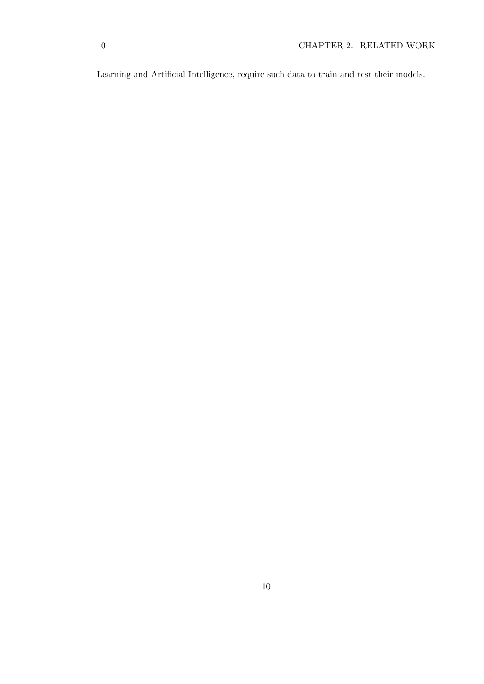Learning and Artificial Intelligence, require such data to train and test their models.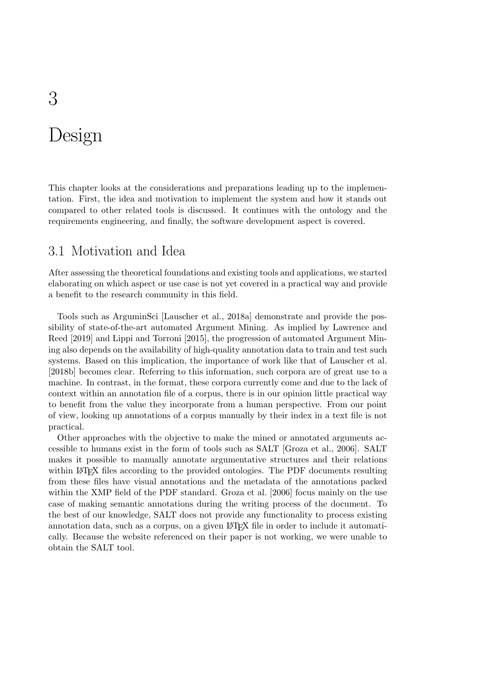# <span id="page-20-0"></span>Design

This chapter looks at the considerations and preparations leading up to the implementation. First, the idea and motivation to implement the system and how it stands out compared to other related tools is discussed. It continues with the ontology and the requirements engineering, and finally, the software development aspect is covered.

# <span id="page-20-1"></span>3.1 Motivation and Idea

After assessing the theoretical foundations and existing tools and applications, we started elaborating on which aspect or use case is not yet covered in a practical way and provide a benefit to the research community in this field.

Tools such as ArguminSci [\[Lauscher et al.,](#page-56-9) [2018a\]](#page-56-9) demonstrate and provide the possibility of state-of-the-art automated Argument Mining. As implied by [Lawrence and](#page-56-0) [Reed](#page-56-0) [\[2019\]](#page-56-0) and [Lippi and Torroni](#page-56-3) [\[2015\]](#page-56-3), the progression of automated Argument Mining also depends on the availability of high-quality annotation data to train and test such systems. Based on this implication, the importance of work like that of [Lauscher et al.](#page-56-4) [\[2018b\]](#page-56-4) becomes clear. Referring to this information, such corpora are of great use to a machine. In contrast, in the format, these corpora currently come and due to the lack of context within an annotation file of a corpus, there is in our opinion little practical way to benefit from the value they incorporate from a human perspective. From our point of view, looking up annotations of a corpus manually by their index in a text file is not practical.

Other approaches with the objective to make the mined or annotated arguments accessible to humans exist in the form of tools such as SALT [\[Groza et al.,](#page-56-6) [2006\]](#page-56-6). SALT makes it possible to manually annotate argumentative structures and their relations within LAT<sub>E</sub>X files according to the provided ontologies. The PDF documents resulting from these files have visual annotations and the metadata of the annotations packed within the XMP field of the PDF standard. [Groza et al.](#page-56-6) [\[2006\]](#page-56-6) focus mainly on the use case of making semantic annotations during the writing process of the document. To the best of our knowledge, SALT does not provide any functionality to process existing annotation data, such as a corpus, on a given LAT<sub>EX</sub> file in order to include it automatically. Because the website referenced on their paper is not working, we were unable to obtain the SALT tool.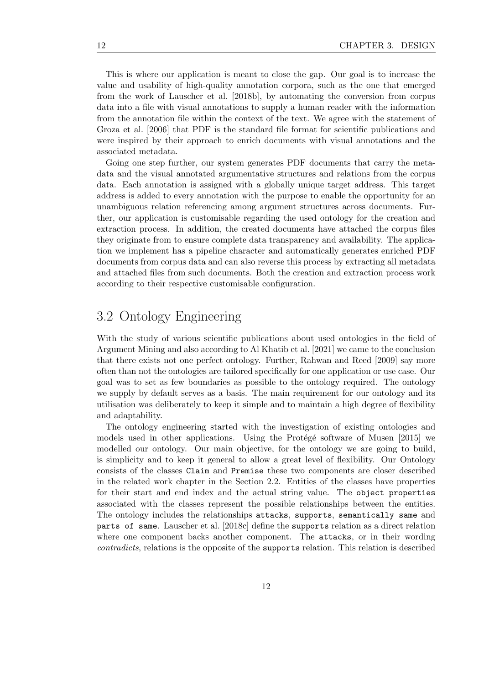This is where our application is meant to close the gap. Our goal is to increase the value and usability of high-quality annotation corpora, such as the one that emerged from the work of [Lauscher et al.](#page-56-4) [\[2018b\]](#page-56-4), by automating the conversion from corpus data into a file with visual annotations to supply a human reader with the information from the annotation file within the context of the text. We agree with the statement of [Groza et al.](#page-56-6) [\[2006\]](#page-56-6) that PDF is the standard file format for scientific publications and were inspired by their approach to enrich documents with visual annotations and the associated metadata.

Going one step further, our system generates PDF documents that carry the metadata and the visual annotated argumentative structures and relations from the corpus data. Each annotation is assigned with a globally unique target address. This target address is added to every annotation with the purpose to enable the opportunity for an unambiguous relation referencing among argument structures across documents. Further, our application is customisable regarding the used ontology for the creation and extraction process. In addition, the created documents have attached the corpus files they originate from to ensure complete data transparency and availability. The application we implement has a pipeline character and automatically generates enriched PDF documents from corpus data and can also reverse this process by extracting all metadata and attached files from such documents. Both the creation and extraction process work according to their respective customisable configuration.

### <span id="page-21-0"></span>3.2 Ontology Engineering

With the study of various scientific publications about used ontologies in the field of Argument Mining and also according to [Al Khatib et al.](#page-56-1) [\[2021\]](#page-56-1) we came to the conclusion that there exists not one perfect ontology. Further, [Rahwan and Reed](#page-57-5) [\[2009\]](#page-57-5) say more often than not the ontologies are tailored specifically for one application or use case. Our goal was to set as few boundaries as possible to the ontology required. The ontology we supply by default serves as a basis. The main requirement for our ontology and its utilisation was deliberately to keep it simple and to maintain a high degree of flexibility and adaptability.

The ontology engineering started with the investigation of existing ontologies and models used in other applications. Using the Protégé software of [Musen](#page-57-11)  $[2015]$  we modelled our ontology. Our main objective, for the ontology we are going to build, is simplicity and to keep it general to allow a great level of flexibility. Our Ontology consists of the classes Claim and Premise these two components are closer described in the related work chapter in the Section [2.2.](#page-16-0) Entities of the classes have properties for their start and end index and the actual string value. The object properties associated with the classes represent the possible relationships between the entities. The ontology includes the relationships attacks, supports, semantically same and parts of same. [Lauscher et al.](#page-56-7) [\[2018c\]](#page-56-7) define the supports relation as a direct relation where one component backs another component. The **attacks**, or in their wording contradicts, relations is the opposite of the supports relation. This relation is described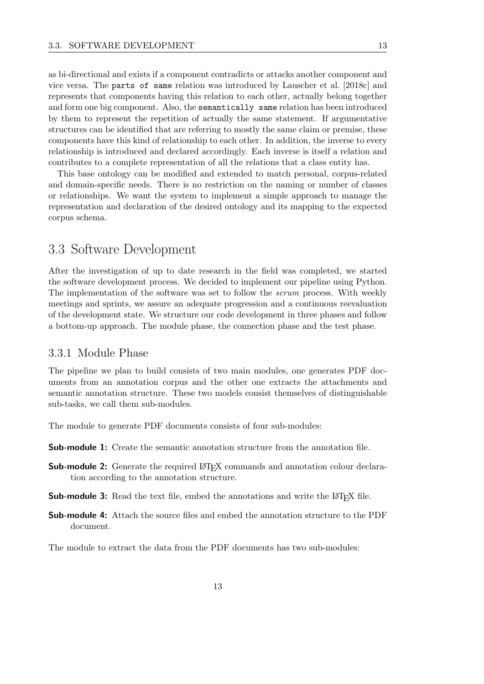as bi-directional and exists if a component contradicts or attacks another component and vice versa. The parts of same relation was introduced by [Lauscher et al.](#page-56-7) [\[2018c\]](#page-56-7) and represents that components having this relation to each other, actually belong together and form one big component. Also, the semantically same relation has been introduced by them to represent the repetition of actually the same statement. If argumentative structures can be identified that are referring to mostly the same claim or premise, these components have this kind of relationship to each other. In addition, the inverse to every relationship is introduced and declared accordingly. Each inverse is itself a relation and contributes to a complete representation of all the relations that a class entity has.

This base ontology can be modified and extended to match personal, corpus-related and domain-specific needs. There is no restriction on the naming or number of classes or relationships. We want the system to implement a simple approach to manage the representation and declaration of the desired ontology and its mapping to the expected corpus schema.

### <span id="page-22-0"></span>3.3 Software Development

After the investigation of up to date research in the field was completed, we started the software development process. We decided to implement our pipeline using Python. The implementation of the software was set to follow the *scrum* process. With weekly meetings and sprints, we assure an adequate progression and a continuous reevaluation of the development state. We structure our code development in three phases and follow a bottom-up approach. The module phase, the connection phase and the test phase.

### <span id="page-22-1"></span>3.3.1 Module Phase

The pipeline we plan to build consists of two main modules, one generates PDF documents from an annotation corpus and the other one extracts the attachments and semantic annotation structure. These two models consist themselves of distinguishable sub-tasks, we call them sub-modules.

The module to generate PDF documents consists of four sub-modules:

Sub-module 1: Create the semantic annotation structure from the annotation file.

- Sub-module 2: Generate the required LATEX commands and annotation colour declaration according to the annotation structure.
- **Sub-module 3:** Read the text file, embed the annotations and write the L<sup>AT</sup>EX file.
- Sub-module 4: Attach the source files and embed the annotation structure to the PDF document.

The module to extract the data from the PDF documents has two sub-modules: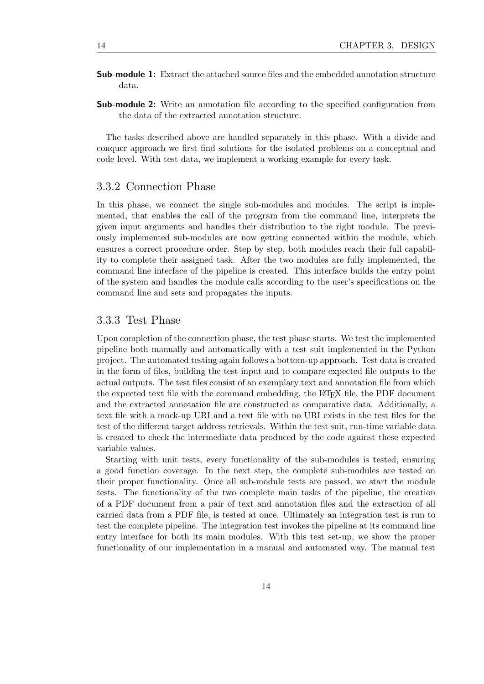- Sub-module 1: Extract the attached source files and the embedded annotation structure data.
- Sub-module 2: Write an annotation file according to the specified configuration from the data of the extracted annotation structure.

The tasks described above are handled separately in this phase. With a divide and conquer approach we first find solutions for the isolated problems on a conceptual and code level. With test data, we implement a working example for every task.

#### <span id="page-23-0"></span>3.3.2 Connection Phase

In this phase, we connect the single sub-modules and modules. The script is implemented, that enables the call of the program from the command line, interprets the given input arguments and handles their distribution to the right module. The previously implemented sub-modules are now getting connected within the module, which ensures a correct procedure order. Step by step, both modules reach their full capability to complete their assigned task. After the two modules are fully implemented, the command line interface of the pipeline is created. This interface builds the entry point of the system and handles the module calls according to the user's specifications on the command line and sets and propagates the inputs.

#### <span id="page-23-1"></span>3.3.3 Test Phase

Upon completion of the connection phase, the test phase starts. We test the implemented pipeline both manually and automatically with a test suit implemented in the Python project. The automated testing again follows a bottom-up approach. Test data is created in the form of files, building the test input and to compare expected file outputs to the actual outputs. The test files consist of an exemplary text and annotation file from which the expected text file with the command embedding, the LAT<sub>EX</sub> file, the PDF document and the extracted annotation file are constructed as comparative data. Additionally, a text file with a mock-up URI and a text file with no URI exists in the test files for the test of the different target address retrievals. Within the test suit, run-time variable data is created to check the intermediate data produced by the code against these expected variable values.

Starting with unit tests, every functionality of the sub-modules is tested, ensuring a good function coverage. In the next step, the complete sub-modules are tested on their proper functionality. Once all sub-module tests are passed, we start the module tests. The functionality of the two complete main tasks of the pipeline, the creation of a PDF document from a pair of text and annotation files and the extraction of all carried data from a PDF file, is tested at once. Ultimately an integration test is run to test the complete pipeline. The integration test invokes the pipeline at its command line entry interface for both its main modules. With this test set-up, we show the proper functionality of our implementation in a manual and automated way. The manual test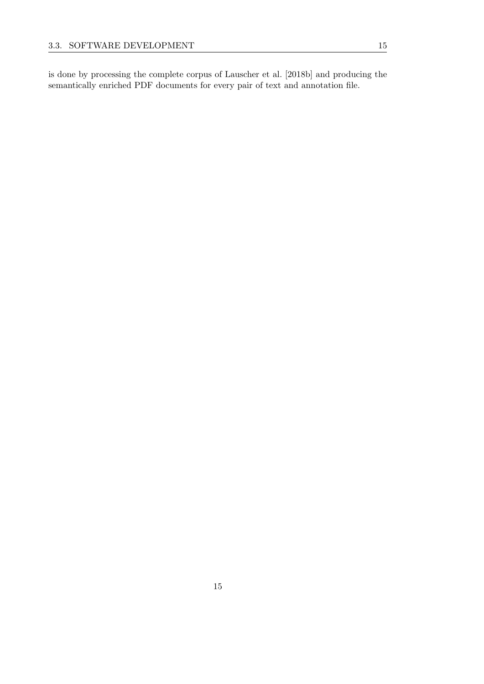is done by processing the complete corpus of [Lauscher et al.](#page-56-4) [\[2018b\]](#page-56-4) and producing the semantically enriched PDF documents for every pair of text and annotation file.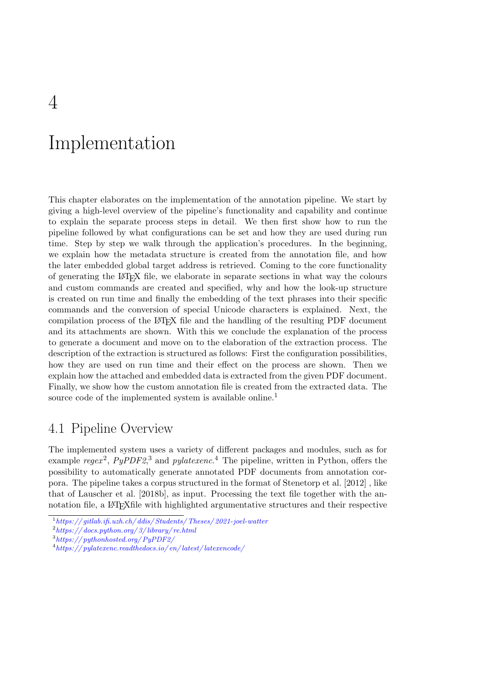# <span id="page-26-0"></span>Implementation

This chapter elaborates on the implementation of the annotation pipeline. We start by giving a high-level overview of the pipeline's functionality and capability and continue to explain the separate process steps in detail. We then first show how to run the pipeline followed by what configurations can be set and how they are used during run time. Step by step we walk through the application's procedures. In the beginning, we explain how the metadata structure is created from the annotation file, and how the later embedded global target address is retrieved. Coming to the core functionality of generating the LATEX file, we elaborate in separate sections in what way the colours and custom commands are created and specified, why and how the look-up structure is created on run time and finally the embedding of the text phrases into their specific commands and the conversion of special Unicode characters is explained. Next, the compilation process of the LATEX file and the handling of the resulting PDF document and its attachments are shown. With this we conclude the explanation of the process to generate a document and move on to the elaboration of the extraction process. The description of the extraction is structured as follows: First the configuration possibilities, how they are used on run time and their effect on the process are shown. Then we explain how the attached and embedded data is extracted from the given PDF document. Finally, we show how the custom annotation file is created from the extracted data. The source code of the implemented system is available online.<sup>[1](#page-26-2)</sup>

### <span id="page-26-1"></span>4.1 Pipeline Overview

The implemented system uses a variety of different packages and modules, such as for example regex<sup>[2](#page-26-3)</sup>, PyPDF2,<sup>[3](#page-26-4)</sup> and pylatexenc.<sup>[4](#page-26-5)</sup> The pipeline, written in Python, offers the possibility to automatically generate annotated PDF documents from annotation corpora. The pipeline takes a corpus structured in the format of [Stenetorp et al.](#page-57-12) [\[2012\]](#page-57-12) , like that of [Lauscher et al.](#page-56-4) [\[2018b\]](#page-56-4), as input. Processing the text file together with the annotation file, a LATEXfile with highlighted argumentative structures and their respective

<span id="page-26-2"></span> $1\,$ https:// $\,$ gitlab.ifi.uzh.ch/ ddis/ $\,$ Students/ Theses/ 2021-joel-watter

<span id="page-26-3"></span> $^{2}$ https://docs.python.org/3/library/re.html

<span id="page-26-4"></span><sup>3</sup> [https:// pythonhosted.org/ PyPDF2/](https://pythonhosted.org/PyPDF2/)

<span id="page-26-5"></span> $^4$ https://pylatexenc.readthedocs.io/en/latest/latexencode/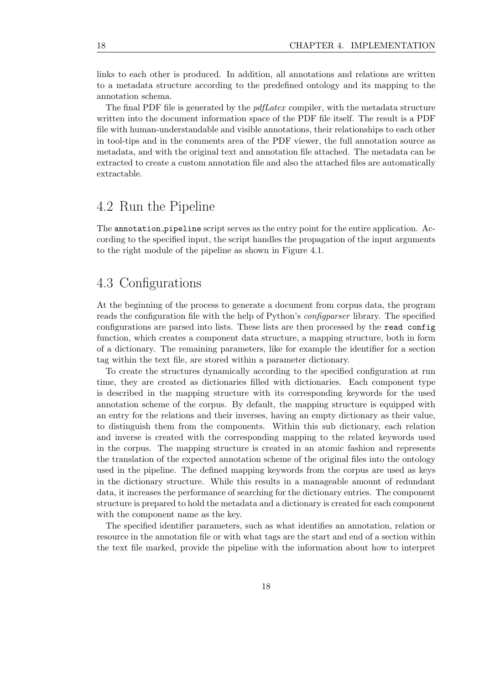links to each other is produced. In addition, all annotations and relations are written to a metadata structure according to the predefined ontology and its mapping to the annotation schema.

The final PDF file is generated by the *pdfLatex* compiler, with the metadata structure written into the document information space of the PDF file itself. The result is a PDF file with human-understandable and visible annotations, their relationships to each other in tool-tips and in the comments area of the PDF viewer, the full annotation source as metadata, and with the original text and annotation file attached. The metadata can be extracted to create a custom annotation file and also the attached files are automatically extractable.

### <span id="page-27-0"></span>4.2 Run the Pipeline

The annotation pipeline script serves as the entry point for the entire application. According to the specified input, the script handles the propagation of the input arguments to the right module of the pipeline as shown in Figure [4.1.](#page-28-0)

# <span id="page-27-1"></span>4.3 Configurations

At the beginning of the process to generate a document from corpus data, the program reads the configuration file with the help of Python's configparser library. The specified configurations are parsed into lists. These lists are then processed by the read config function, which creates a component data structure, a mapping structure, both in form of a dictionary. The remaining parameters, like for example the identifier for a section tag within the text file, are stored within a parameter dictionary.

To create the structures dynamically according to the specified configuration at run time, they are created as dictionaries filled with dictionaries. Each component type is described in the mapping structure with its corresponding keywords for the used annotation scheme of the corpus. By default, the mapping structure is equipped with an entry for the relations and their inverses, having an empty dictionary as their value, to distinguish them from the components. Within this sub dictionary, each relation and inverse is created with the corresponding mapping to the related keywords used in the corpus. The mapping structure is created in an atomic fashion and represents the translation of the expected annotation scheme of the original files into the ontology used in the pipeline. The defined mapping keywords from the corpus are used as keys in the dictionary structure. While this results in a manageable amount of redundant data, it increases the performance of searching for the dictionary entries. The component structure is prepared to hold the metadata and a dictionary is created for each component with the component name as the key.

The specified identifier parameters, such as what identifies an annotation, relation or resource in the annotation file or with what tags are the start and end of a section within the text file marked, provide the pipeline with the information about how to interpret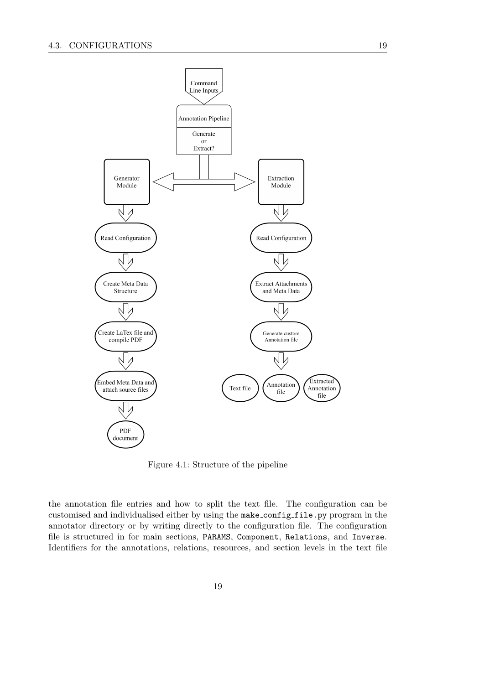

<span id="page-28-0"></span>Figure 4.1: Structure of the pipeline

the annotation file entries and how to split the text file. The configuration can be customised and individualised either by using the make config file.py program in the annotator directory or by writing directly to the configuration file. The configuration file is structured in for main sections, PARAMS, Component, Relations, and Inverse. Identifiers for the annotations, relations, resources, and section levels in the text file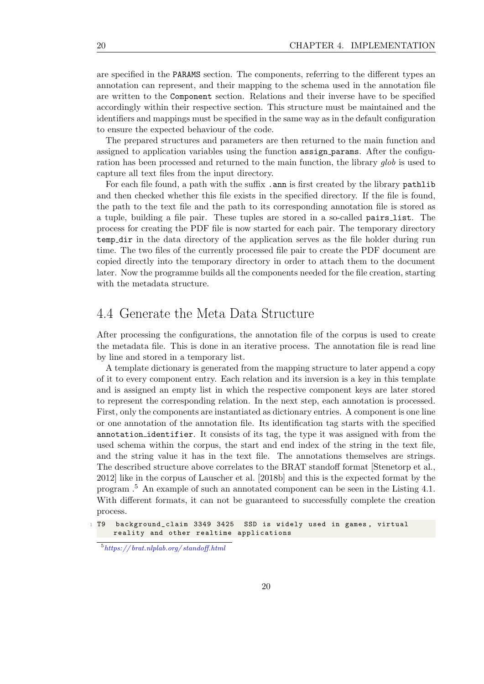are specified in the PARAMS section. The components, referring to the different types an annotation can represent, and their mapping to the schema used in the annotation file are written to the Component section. Relations and their inverse have to be specified accordingly within their respective section. This structure must be maintained and the identifiers and mappings must be specified in the same way as in the default configuration to ensure the expected behaviour of the code.

The prepared structures and parameters are then returned to the main function and assigned to application variables using the function assign params. After the configuration has been processed and returned to the main function, the library glob is used to capture all text files from the input directory.

For each file found, a path with the suffix .ann is first created by the library pathlib and then checked whether this file exists in the specified directory. If the file is found, the path to the text file and the path to its corresponding annotation file is stored as a tuple, building a file pair. These tuples are stored in a so-called pairs list. The process for creating the PDF file is now started for each pair. The temporary directory temp dir in the data directory of the application serves as the file holder during run time. The two files of the currently processed file pair to create the PDF document are copied directly into the temporary directory in order to attach them to the document later. Now the programme builds all the components needed for the file creation, starting with the metadata structure.

### <span id="page-29-0"></span>4.4 Generate the Meta Data Structure

After processing the configurations, the annotation file of the corpus is used to create the metadata file. This is done in an iterative process. The annotation file is read line by line and stored in a temporary list.

A template dictionary is generated from the mapping structure to later append a copy of it to every component entry. Each relation and its inversion is a key in this template and is assigned an empty list in which the respective component keys are later stored to represent the corresponding relation. In the next step, each annotation is processed. First, only the components are instantiated as dictionary entries. A component is one line or one annotation of the annotation file. Its identification tag starts with the specified annotation identifier. It consists of its tag, the type it was assigned with from the used schema within the corpus, the start and end index of the string in the text file, and the string value it has in the text file. The annotations themselves are strings. The described structure above correlates to the BRAT standoff format [\[Stenetorp et al.,](#page-57-12) [2012\]](#page-57-12) like in the corpus of [Lauscher et al.](#page-56-4) [\[2018b\]](#page-56-4) and this is the expected format by the program .[5](#page-29-1) An example of such an annotated component can be seen in the Listing [4.1.](#page-29-2) With different formats, it can not be guaranteed to successfully complete the creation process.

<span id="page-29-1"></span> $^{5}$ https://brat.nlplab.org/standoff.html

<span id="page-29-2"></span><sup>1</sup> T9 background\_claim 3349 3425 SSD is widely used in games , virtual reality and other realtime applications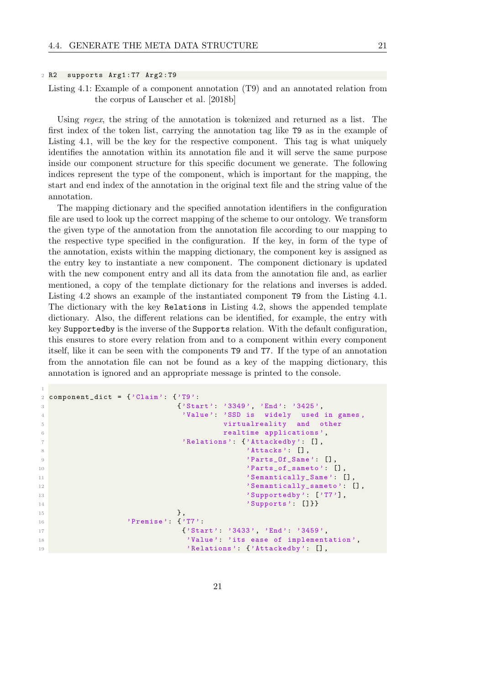#### <sup>2</sup> R2 supports Arg1 : T7 Arg2 : T9

<span id="page-30-0"></span>1

Listing 4.1: Example of a component annotation (T9) and an annotated relation from the corpus of [Lauscher et al.](#page-56-4) [\[2018b\]](#page-56-4)

Using regex, the string of the annotation is tokenized and returned as a list. The first index of the token list, carrying the annotation tag like T9 as in the example of Listing [4.1,](#page-29-2) will be the key for the respective component. This tag is what uniquely identifies the annotation within its annotation file and it will serve the same purpose inside our component structure for this specific document we generate. The following indices represent the type of the component, which is important for the mapping, the start and end index of the annotation in the original text file and the string value of the annotation.

The mapping dictionary and the specified annotation identifiers in the configuration file are used to look up the correct mapping of the scheme to our ontology. We transform the given type of the annotation from the annotation file according to our mapping to the respective type specified in the configuration. If the key, in form of the type of the annotation, exists within the mapping dictionary, the component key is assigned as the entry key to instantiate a new component. The component dictionary is updated with the new component entry and all its data from the annotation file and, as earlier mentioned, a copy of the template dictionary for the relations and inverses is added. Listing [4.2](#page-30-0) shows an example of the instantiated component T9 from the Listing [4.1.](#page-29-2) The dictionary with the key Relations in Listing [4.2,](#page-30-0) shows the appended template dictionary. Also, the different relations can be identified, for example, the entry with key Supportedby is the inverse of the Supports relation. With the default configuration, this ensures to store every relation from and to a component within every component itself, like it can be seen with the components T9 and T7. If the type of an annotation from the annotation file can not be found as a key of the mapping dictionary, this annotation is ignored and an appropriate message is printed to the console.

```
2 component_dict = {'Clain' : 'T9':}3 {'Start ': '3349 ', 'End ': '3425 ',
4 'Value ': 'SSD is widely used in games ,
5 virtualreality and other
6 realtime applications ',
7 'Relations ': {'Attackedby ': [] ,
8 4 ttacks ': [] , 4 ttacks ': [] , 4 ttacks ': [] , [9 ' Parts_Of_Same': [],
10 ' \texttt{Parts\_of\_sameto'} : [] ,
11 \text{Semantically\_Same} \text{':} \quad \text{[]},
12 3 Semantically_sameto': [],
13 Supportedby ': ['T7'],
14 Supports ': [] } Supports ': [] } 
\frac{15}{3}, \frac{1}{3}, \frac{1}{3}, \frac{1}{3}, \frac{1}{3}, \frac{1}{3}, \frac{1}{3}, \frac{1}{3}, \frac{1}{3}, \frac{1}{3}, \frac{1}{3}, \frac{1}{3}, \frac{1}{3}, \frac{1}{3}, \frac{1}{3}, \frac{1}{3}, \frac{1}{3}, \frac{1}{3}, \frac{1}{3}, \frac{1}{3}, 
16 'Premise': {'T7':
17 \{ 'Start ': '3433', 'End': '3459',
18 'Value ': 'its ease of implementation ',
19 \blacksquare \blacksquare \blacksquare \blacksquare \blacksquare \blacksquare \blacksquare \blacksquare \blacksquare \blacksquare \blacksquare \blacksquare \blacksquare \blacksquare \blacksquare \blacksquare \blacksquare \blacksquare \blacksquare \blacksquare \blacksquare \blacksquare \blacksquare \blacksquare \blacksquare \blacksquare \blacksquare \blacksquare \blacksquare \blacksquare \blacksquare \
```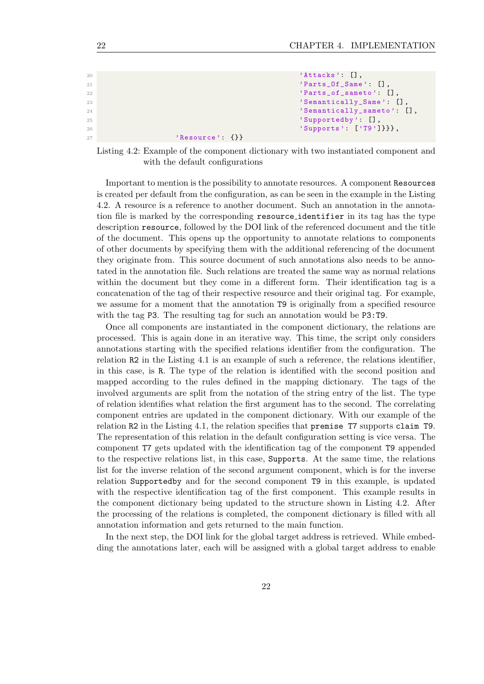| 20 | $'$ Attacks' [].             |
|----|------------------------------|
| 21 | $'$ Parts_Of_Same': $[]$ ,   |
| 22 | $'$ Parts_of_sameto': $[]$ , |
| 23 | 'Semantically_Same': [],     |
| 24 | 'Semantically_sameto': [],   |
| 25 | $'Supportedby'$ : $[]$ ,     |
| 26 | $'\$ Supports': $['T9']\}$ , |
| 27 | 'Resource' {}}               |

Listing 4.2: Example of the component dictionary with two instantiated component and with the default configurations

Important to mention is the possibility to annotate resources. A component Resources is created per default from the configuration, as can be seen in the example in the Listing [4.2.](#page-30-0) A resource is a reference to another document. Such an annotation in the annotation file is marked by the corresponding resource identifier in its tag has the type description resource, followed by the DOI link of the referenced document and the title of the document. This opens up the opportunity to annotate relations to components of other documents by specifying them with the additional referencing of the document they originate from. This source document of such annotations also needs to be annotated in the annotation file. Such relations are treated the same way as normal relations within the document but they come in a different form. Their identification tag is a concatenation of the tag of their respective resource and their original tag. For example, we assume for a moment that the annotation T9 is originally from a specified resource with the tag P3. The resulting tag for such an annotation would be P3:T9.

Once all components are instantiated in the component dictionary, the relations are processed. This is again done in an iterative way. This time, the script only considers annotations starting with the specified relations identifier from the configuration. The relation R2 in the Listing [4.1](#page-29-2) is an example of such a reference, the relations identifier, in this case, is R. The type of the relation is identified with the second position and mapped according to the rules defined in the mapping dictionary. The tags of the involved arguments are split from the notation of the string entry of the list. The type of relation identifies what relation the first argument has to the second. The correlating component entries are updated in the component dictionary. With our example of the relation R2 in the Listing [4.1,](#page-29-2) the relation specifies that premise T7 supports claim T9. The representation of this relation in the default configuration setting is vice versa. The component T7 gets updated with the identification tag of the component T9 appended to the respective relations list, in this case, Supports. At the same time, the relations list for the inverse relation of the second argument component, which is for the inverse relation Supportedby and for the second component T9 in this example, is updated with the respective identification tag of the first component. This example results in the component dictionary being updated to the structure shown in Listing [4.2.](#page-30-0) After the processing of the relations is completed, the component dictionary is filled with all annotation information and gets returned to the main function.

In the next step, the DOI link for the global target address is retrieved. While embedding the annotations later, each will be assigned with a global target address to enable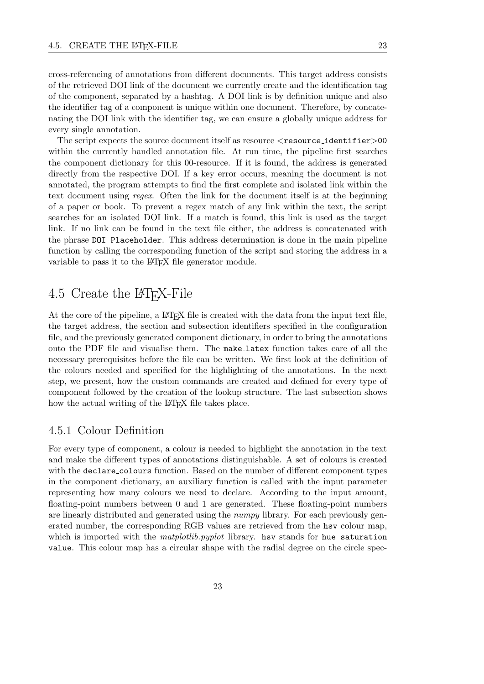cross-referencing of annotations from different documents. This target address consists of the retrieved DOI link of the document we currently create and the identification tag of the component, separated by a hashtag. A DOI link is by definition unique and also the identifier tag of a component is unique within one document. Therefore, by concatenating the DOI link with the identifier tag, we can ensure a globally unique address for every single annotation.

The script expects the source document itself as resource  $\le$ resource\_identifier>00 within the currently handled annotation file. At run time, the pipeline first searches the component dictionary for this 00-resource. If it is found, the address is generated directly from the respective DOI. If a key error occurs, meaning the document is not annotated, the program attempts to find the first complete and isolated link within the text document using regex. Often the link for the document itself is at the beginning of a paper or book. To prevent a regex match of any link within the text, the script searches for an isolated DOI link. If a match is found, this link is used as the target link. If no link can be found in the text file either, the address is concatenated with the phrase DOI Placeholder. This address determination is done in the main pipeline function by calling the corresponding function of the script and storing the address in a variable to pass it to the LAT<sub>EX</sub> file generator module.

# <span id="page-32-0"></span>4.5 Create the LATEX-File

At the core of the pipeline, a LAT<sub>EX</sub> file is created with the data from the input text file, the target address, the section and subsection identifiers specified in the configuration file, and the previously generated component dictionary, in order to bring the annotations onto the PDF file and visualise them. The make latex function takes care of all the necessary prerequisites before the file can be written. We first look at the definition of the colours needed and specified for the highlighting of the annotations. In the next step, we present, how the custom commands are created and defined for every type of component followed by the creation of the lookup structure. The last subsection shows how the actual writing of the LAT<sub>EX</sub> file takes place.

#### <span id="page-32-1"></span>4.5.1 Colour Definition

For every type of component, a colour is needed to highlight the annotation in the text and make the different types of annotations distinguishable. A set of colours is created with the declare colours function. Based on the number of different component types in the component dictionary, an auxiliary function is called with the input parameter representing how many colours we need to declare. According to the input amount, floating-point numbers between 0 and 1 are generated. These floating-point numbers are linearly distributed and generated using the numpy library. For each previously generated number, the corresponding RGB values are retrieved from the hsv colour map, which is imported with the *matplotlib.pyplot* library. hsv stands for hue saturation value. This colour map has a circular shape with the radial degree on the circle spec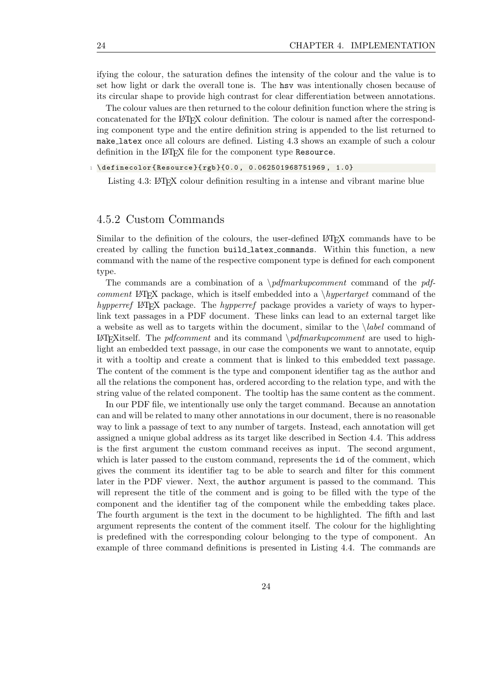ifying the colour, the saturation defines the intensity of the colour and the value is to set how light or dark the overall tone is. The hsv was intentionally chosen because of its circular shape to provide high contrast for clear differentiation between annotations.

The colour values are then returned to the colour definition function where the string is concatenated for the LAT<sub>E</sub>X colour definition. The colour is named after the corresponding component type and the entire definition string is appended to the list returned to make latex once all colours are defined. Listing [4.3](#page-33-1) shows an example of such a colour definition in the LAT<sub>E</sub>X file for the component type Resource.

#### <span id="page-33-1"></span> $1 \ \delta$ 1 \definecolor{Resource}{rgb}{0.0, 0.062501968751969, 1.0}

Listing 4.3: LAT<sub>E</sub>X colour definition resulting in a intense and vibrant marine blue

#### <span id="page-33-0"></span>4.5.2 Custom Commands

Similar to the definition of the colours, the user-defined LATEX commands have to be created by calling the function build latex commands. Within this function, a new command with the name of the respective component type is defined for each component type.

The commands are a combination of a  $\partial$  *ndfmarkupcomment* command of the pdfcomment LATEX package, which is itself embedded into a  $\hbar y$  *hypertarget* command of the hypperref LATEX package. The hypperref package provides a variety of ways to hyperlink text passages in a PDF document. These links can lead to an external target like a website as well as to targets within the document, similar to the  $\lambda$  label command of LATEXITE: The pdfcomment and its command  $\partial \phi$  and  $\partial \phi$ light an embedded text passage, in our case the components we want to annotate, equip it with a tooltip and create a comment that is linked to this embedded text passage. The content of the comment is the type and component identifier tag as the author and all the relations the component has, ordered according to the relation type, and with the string value of the related component. The tooltip has the same content as the comment.

In our PDF file, we intentionally use only the target command. Because an annotation can and will be related to many other annotations in our document, there is no reasonable way to link a passage of text to any number of targets. Instead, each annotation will get assigned a unique global address as its target like described in Section [4.4.](#page-29-0) This address is the first argument the custom command receives as input. The second argument, which is later passed to the custom command, represents the id of the comment, which gives the comment its identifier tag to be able to search and filter for this comment later in the PDF viewer. Next, the author argument is passed to the command. This will represent the title of the comment and is going to be filled with the type of the component and the identifier tag of the component while the embedding takes place. The fourth argument is the text in the document to be highlighted. The fifth and last argument represents the content of the comment itself. The colour for the highlighting is predefined with the corresponding colour belonging to the type of component. An example of three command definitions is presented in Listing [4.4.](#page-34-1) The commands are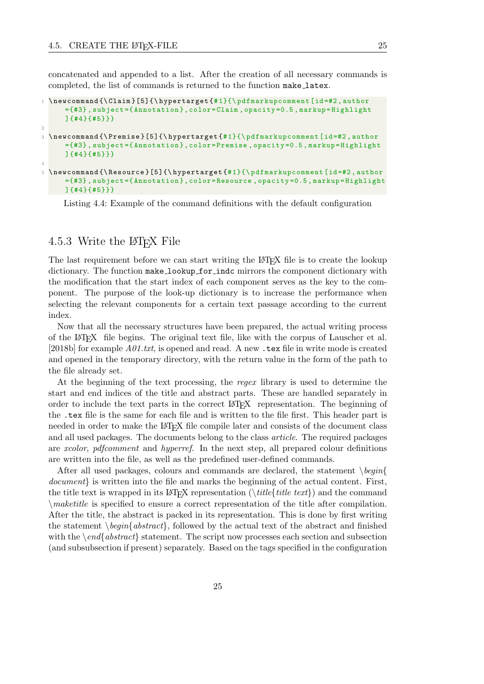concatenated and appended to a list. After the creation of all necessary commands is completed, the list of commands is returned to the function make latex.

```
\newcommand {\Claim}[5] {\hypertarget {#1}{\pdfmarkupcomment [id=#2, author
      ={#3} , subject ={ Annotation } , color =Claim , opacity =0.5 , markup = Highlight
      ]{#4}{#5}}}
2
3 \ newcommand {\ Premise }[5]{\ hypertarget {# 1}{\ pdfmarkupcomment [id =#2 , author
      ={#3} , subject ={ Annotation } , color = Premise , opacity =0.5 , markup = Highlight
      ]{#4}{#5}}}
4
5 \ newcommand {\ Resource }[5]{\ hypertarget {# 1}{\ pdfmarkupcomment [id =#2 , author
      ={#3} , subject ={ Annotation } , color = Resource , opacity =0.5 , markup = Highlight
      ]{#4}{#5}}}
```
Listing 4.4: Example of the command definitions with the default configuration

#### <span id="page-34-0"></span>4.5.3 Write the LAT<sub>EX</sub> File

The last requirement before we can start writing the LAT<sub>EX</sub> file is to create the lookup dictionary. The function make\_lookup\_for\_indc mirrors the component dictionary with the modification that the start index of each component serves as the key to the component. The purpose of the look-up dictionary is to increase the performance when selecting the relevant components for a certain text passage according to the current index.

Now that all the necessary structures have been prepared, the actual writing process of the LATEX file begins. The original text file, like with the corpus of [Lauscher et al.](#page-56-4) [\[2018b\]](#page-56-4) for example  $A01.txt$ , is opened and read. A new  $\cdot$  tex file in write mode is created and opened in the temporary directory, with the return value in the form of the path to the file already set.

At the beginning of the text processing, the regex library is used to determine the start and end indices of the title and abstract parts. These are handled separately in order to include the text parts in the correct LATEX representation. The beginning of the .tex file is the same for each file and is written to the file first. This header part is needed in order to make the LAT<sub>EX</sub> file compile later and consists of the document class and all used packages. The documents belong to the class *article*. The required packages are *xcolor*, *pdfcomment* and *hyperref*. In the next step, all prepared colour definitions are written into the file, as well as the predefined user-defined commands.

After all used packages, colours and commands are declared, the statement  $\begin{cases} begin \end{cases}$ document} is written into the file and marks the beginning of the actual content. First, the title text is wrapped in its LAT<sub>EX</sub> representation ( $\tilde{t}$ *itle*{*title text*}) and the command  $\mathcal{E}$  and  $\mathcal{E}$  is specified to ensure a correct representation of the title after compilation. After the title, the abstract is packed in its representation. This is done by first writing the statement  $\begin{cases} \begin{array}{c} \begin{array}{c} \text{obstract} \\ \text{followed by the actual text of the abstract and finished} \end{array} \end{cases}$ with the  $\end{math}$  abstract statement. The script now processes each section and subsection (and subsubsection if present) separately. Based on the tags specified in the configuration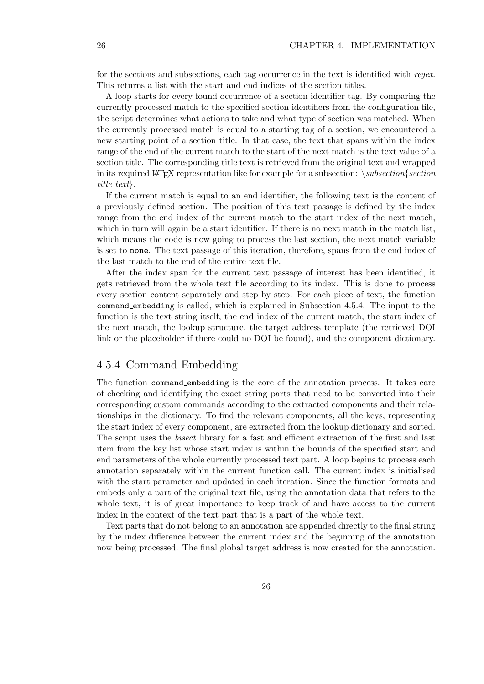for the sections and subsections, each tag occurrence in the text is identified with regex. This returns a list with the start and end indices of the section titles.

A loop starts for every found occurrence of a section identifier tag. By comparing the currently processed match to the specified section identifiers from the configuration file, the script determines what actions to take and what type of section was matched. When the currently processed match is equal to a starting tag of a section, we encountered a new starting point of a section title. In that case, the text that spans within the index range of the end of the current match to the start of the next match is the text value of a section title. The corresponding title text is retrieved from the original text and wrapped in its required LAT<sub>EX</sub> representation like for example for a subsection:  $\succeq subsection\frac{section}{section}$ title text}.

If the current match is equal to an end identifier, the following text is the content of a previously defined section. The position of this text passage is defined by the index range from the end index of the current match to the start index of the next match, which in turn will again be a start identifier. If there is no next match in the match list, which means the code is now going to process the last section, the next match variable is set to none. The text passage of this iteration, therefore, spans from the end index of the last match to the end of the entire text file.

After the index span for the current text passage of interest has been identified, it gets retrieved from the whole text file according to its index. This is done to process every section content separately and step by step. For each piece of text, the function command embedding is called, which is explained in Subsection [4.5.4.](#page-35-0) The input to the function is the text string itself, the end index of the current match, the start index of the next match, the lookup structure, the target address template (the retrieved DOI link or the placeholder if there could no DOI be found), and the component dictionary.

#### <span id="page-35-0"></span>4.5.4 Command Embedding

The function command embedding is the core of the annotation process. It takes care of checking and identifying the exact string parts that need to be converted into their corresponding custom commands according to the extracted components and their relationships in the dictionary. To find the relevant components, all the keys, representing the start index of every component, are extracted from the lookup dictionary and sorted. The script uses the bisect library for a fast and efficient extraction of the first and last item from the key list whose start index is within the bounds of the specified start and end parameters of the whole currently processed text part. A loop begins to process each annotation separately within the current function call. The current index is initialised with the start parameter and updated in each iteration. Since the function formats and embeds only a part of the original text file, using the annotation data that refers to the whole text, it is of great importance to keep track of and have access to the current index in the context of the text part that is a part of the whole text.

Text parts that do not belong to an annotation are appended directly to the final string by the index difference between the current index and the beginning of the annotation now being processed. The final global target address is now created for the annotation.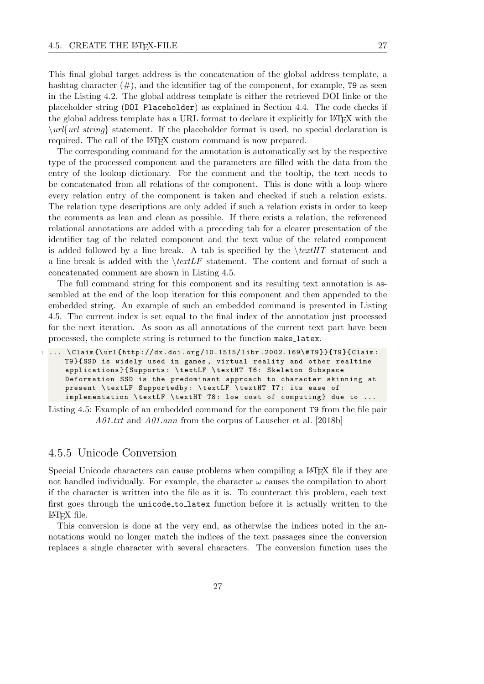This final global target address is the concatenation of the global address template, a hashtag character  $(\#)$ , and the identifier tag of the component, for example, T9 as seen in the Listing [4.2.](#page-30-0) The global address template is either the retrieved DOI linke or the placeholder string (DOI Placeholder) as explained in Section [4.4.](#page-29-0) The code checks if the global address template has a URL format to declare it explicitly for LATEX with the  $\u_{\ell}$  string statement. If the placeholder format is used, no special declaration is required. The call of the LAT<sub>EX</sub> custom command is now prepared.

The corresponding command for the annotation is automatically set by the respective type of the processed component and the parameters are filled with the data from the entry of the lookup dictionary. For the comment and the tooltip, the text needs to be concatenated from all relations of the component. This is done with a loop where every relation entry of the component is taken and checked if such a relation exists. The relation type descriptions are only added if such a relation exists in order to keep the comments as lean and clean as possible. If there exists a relation, the referenced relational annotations are added with a preceding tab for a clearer presentation of the identifier tag of the related component and the text value of the related component is added followed by a line break. A tab is specified by the  $\text{trif }T$  statement and a line break is added with the  $\text{textL}$  statement. The content and format of such a concatenated comment are shown in Listing [4.5.](#page-36-1)

The full command string for this component and its resulting text annotation is assembled at the end of the loop iteration for this component and then appended to the embedded string. An example of such an embedded command is presented in Listing [4.5.](#page-36-1) The current index is set equal to the final index of the annotation just processed for the next iteration. As soon as all annotations of the current text part have been processed, the complete string is returned to the function make latex.

```
1 ... \Claim{\ \ u\ } {\url{http://dx.doi.org/10.1515/libr.2002.169\#T9}}{T9}{Claim:
     T9 }{ SSD is widely used in games , virtual reality and other realtime
     applications }{ Supports : \ textLF \ textHT T6 : Skeleton Subspace
     Deformation SSD is the predominant approach to character skinning at
     present \ textLF Supportedby : \ textLF \ textHT T7 : its ease of
     implementation \textLF \textHT T8: low cost of computing} due to ...
```
Listing 4.5: Example of an embedded command for the component T9 from the file pair A01.txt and A01.ann from the corpus of [Lauscher et al.](#page-56-4) [\[2018b\]](#page-56-4)

#### <span id="page-36-0"></span>4.5.5 Unicode Conversion

Special Unicode characters can cause problems when compiling a LAT<sub>E</sub>X file if they are not handled individually. For example, the character  $\omega$  causes the compilation to abort if the character is written into the file as it is. To counteract this problem, each text first goes through the unicode to latex function before it is actually written to the LATEX file.

This conversion is done at the very end, as otherwise the indices noted in the annotations would no longer match the indices of the text passages since the conversion replaces a single character with several characters. The conversion function uses the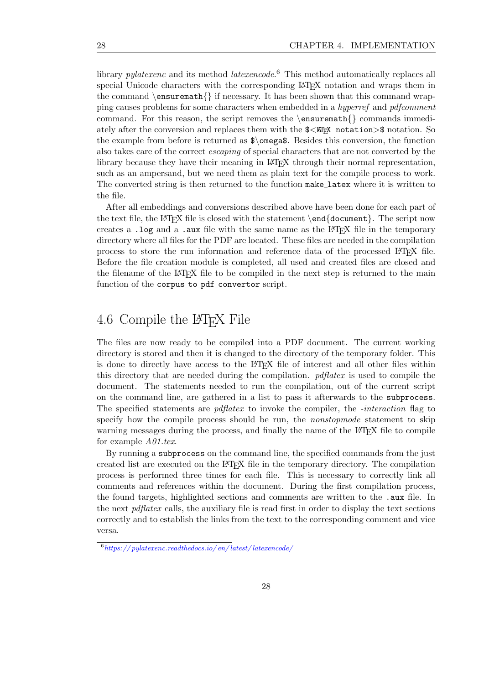library *pylatexenc* and its method *latexencode*.<sup>[6](#page-37-1)</sup> This method automatically replaces all special Unicode characters with the corresponding LATEX notation and wraps them in the command  $\enskip$  \ensuremath{} if necessary. It has been shown that this command wrapping causes problems for some characters when embedded in a *hyperref* and *pdfcomment* command. For this reason, the script removes the  $\enskip$  \ensuremath {} commands immediately after the conversion and replaces them with the  $\mathcal{F}\leq\mathbb{E}$ <sub>TEX</sub> notation> $\mathcal{F}$  notation. So the example from before is returned as \$\omega\$. Besides this conversion, the function also takes care of the correct escaping of special characters that are not converted by the library because they have their meaning in LATEX through their normal representation, such as an ampersand, but we need them as plain text for the compile process to work. The converted string is then returned to the function make latex where it is written to the file.

After all embeddings and conversions described above have been done for each part of the text file, the LAT<sub>E</sub>X file is closed with the statement  $\end{tag{document}$ . The script now creates a .log and a .aux file with the same name as the  $\text{LATEX}$  file in the temporary directory where all files for the PDF are located. These files are needed in the compilation process to store the run information and reference data of the processed LATEX file. Before the file creation module is completed, all used and created files are closed and the filename of the LAT<sub>EX</sub> file to be compiled in the next step is returned to the main function of the corpus\_to\_pdf\_convertor script.

# <span id="page-37-0"></span>4.6 Compile the LATEX File

The files are now ready to be compiled into a PDF document. The current working directory is stored and then it is changed to the directory of the temporary folder. This is done to directly have access to the LATEX file of interest and all other files within this directory that are needed during the compilation.  $p \, \text{d} \text{f} \text{d} \text{f} \text{d} \text{f}$  is used to compile the document. The statements needed to run the compilation, out of the current script on the command line, are gathered in a list to pass it afterwards to the subprocess. The specified statements are *pdflatex* to invoke the compiler, the *-interaction* flag to specify how the compile process should be run, the *nonstopmode* statement to skip warning messages during the process, and finally the name of the LAT<sub>E</sub>X file to compile for example A01.tex.

By running a subprocess on the command line, the specified commands from the just created list are executed on the LATEX file in the temporary directory. The compilation process is performed three times for each file. This is necessary to correctly link all comments and references within the document. During the first compilation process, the found targets, highlighted sections and comments are written to the .aux file. In the next *pdflatex* calls, the auxiliary file is read first in order to display the text sections correctly and to establish the links from the text to the corresponding comment and vice versa.

<span id="page-37-1"></span> $^6$ https://pylatexenc.readthedocs.io/en/latest/latexencode/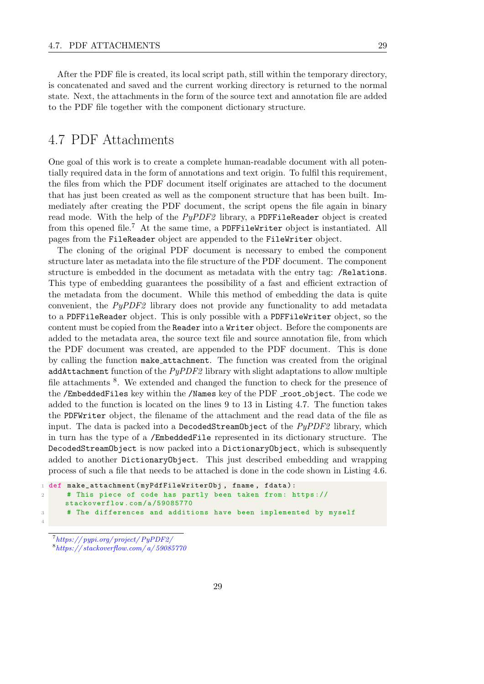After the PDF file is created, its local script path, still within the temporary directory, is concatenated and saved and the current working directory is returned to the normal state. Next, the attachments in the form of the source text and annotation file are added to the PDF file together with the component dictionary structure.

# <span id="page-38-0"></span>4.7 PDF Attachments

One goal of this work is to create a complete human-readable document with all potentially required data in the form of annotations and text origin. To fulfil this requirement, the files from which the PDF document itself originates are attached to the document that has just been created as well as the component structure that has been built. Immediately after creating the PDF document, the script opens the file again in binary read mode. With the help of the PyPDF2 library, a PDFFileReader object is created from this opened file.<sup>[7](#page-38-1)</sup> At the same time, a PDFFileWriter object is instantiated. All pages from the FileReader object are appended to the FileWriter object.

The cloning of the original PDF document is necessary to embed the component structure later as metadata into the file structure of the PDF document. The component structure is embedded in the document as metadata with the entry tag: /Relations. This type of embedding guarantees the possibility of a fast and efficient extraction of the metadata from the document. While this method of embedding the data is quite convenient, the PyPDF2 library does not provide any functionality to add metadata to a PDFFileReader object. This is only possible with a PDFFileWriter object, so the content must be copied from the Reader into a Writer object. Before the components are added to the metadata area, the source text file and source annotation file, from which the PDF document was created, are appended to the PDF document. This is done by calling the function make attachment. The function was created from the original addAttachment function of the  $PyPDF2$  library with slight adaptations to allow multiple file attachments <sup>[8](#page-38-2)</sup>. We extended and changed the function to check for the presence of the /EmbeddedFiles key within the /Names key of the PDF root object. The code we added to the function is located on the lines 9 to 13 in Listing [4.7.](#page-39-0) The function takes the PDFWriter object, the filename of the attachment and the read data of the file as input. The data is packed into a DecodedStreamObject of the  $PyPDF2$  library, which in turn has the type of a /EmbeddedFile represented in its dictionary structure. The DecodedStreamObject is now packed into a DictionaryObject, which is subsequently added to another DictionaryObject. This just described embedding and wrapping process of such a file that needs to be attached is done in the code shown in Listing [4.6.](#page-38-3)

```
1 def make_attachment ( myPdfFileWriterObj, fname, fdata) :
2 # This piece of code has partly been taken from: https://
     stackoverflow .com/a /59085770
3 # The differences and additions have been implemented by myself
4
```
<span id="page-38-2"></span><span id="page-38-1"></span>7 [https:// pypi.org/ project/ PyPDF2/](https://pypi.org/project/PyPDF2/)  $8$ https://stackoverflow.com/a/59085770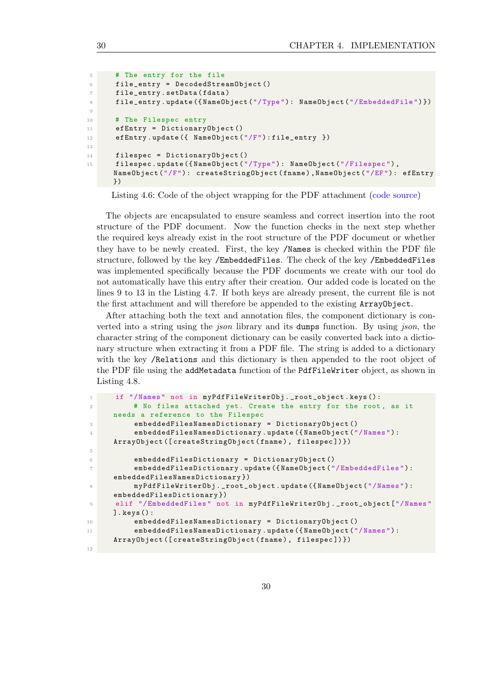```
5 # The entry for the file
6 file_entry = DecodedStreamObject ()
7 file_entry . setData (fdata)
8 file_entry . update ({ NameObject ("/ Type ") : NameObject ("/ EmbeddedFile ") })
\alpha10 # The Filespec entry
11 efEntry = DictionaryObject ()
12 efEntry . update ({ NameObject ("/F") : file_entry })
13
14 filespec = DictionaryObject ()
15 filespec.update ({NameObject ("/Type"): NameObject ("/Filespec"),
     NameObject ("/F") : createStringObject ( fname ) , NameObject ("/EF") : efEntry
     })
```
Listing 4.6: Code of the object wrapping for the PDF attachment [\(code source\)](https://stackoverflow.com/a/59085770)

The objects are encapsulated to ensure seamless and correct insertion into the root structure of the PDF document. Now the function checks in the next step whether the required keys already exist in the root structure of the PDF document or whether they have to be newly created. First, the key /Names is checked within the PDF file structure, followed by the key /EmbeddedFiles. The check of the key /EmbeddedFiles was implemented specifically because the PDF documents we create with our tool do not automatically have this entry after their creation. Our added code is located on the lines 9 to 13 in the Listing [4.7.](#page-39-0) If both keys are already present, the current file is not the first attachment and will therefore be appended to the existing ArrayObject.

After attaching both the text and annotation files, the component dictionary is converted into a string using the *json* library and its dumps function. By using *json*, the character string of the component dictionary can be easily converted back into a dictionary structure when extracting it from a PDF file. The string is added to a dictionary with the key /Relations and this dictionary is then appended to the root object of the PDF file using the addMetadata function of the PdfFileWriter object, as shown in Listing [4.8.](#page-40-2)

```
1 if "/Names" not in myPdfFileWriterObj._root_object.keys():
2 # No files attached yet. Create the entry for the root , as it
     needs a reference to the Filespec
3 embeddedFilesNamesDictionary = DictionaryObject ()
4 embeddedFilesNamesDictionary . update ({ NameObject ("/ Names ") :
     ArrayObject ([ createStringObject ( fname ) , filespec ]) })
5
6 embeddedFilesDictionary = DictionaryObject ()
          embeddedFilesDictionary.update ({NameObject ("/EmbeddedFiles"):
     embeddedFilesNamesDictionary })
          myPdfFileWriterObj . _ root_object . update ({NameObject ("/Names") :
     embeddedFilesDictionary })
9 elif "/EmbeddedFiles" not in myPdfFileWriterObj._root_object ["/Names"
     ]. keys () :
10 embeddedFilesNamesDictionary = DictionaryObject ()
11 embeddedFilesNamesDictionary.update ({NameObject ("/Names"):
     ArrayObject ([ createStringObject ( fname ) , filespec ]) })
12
```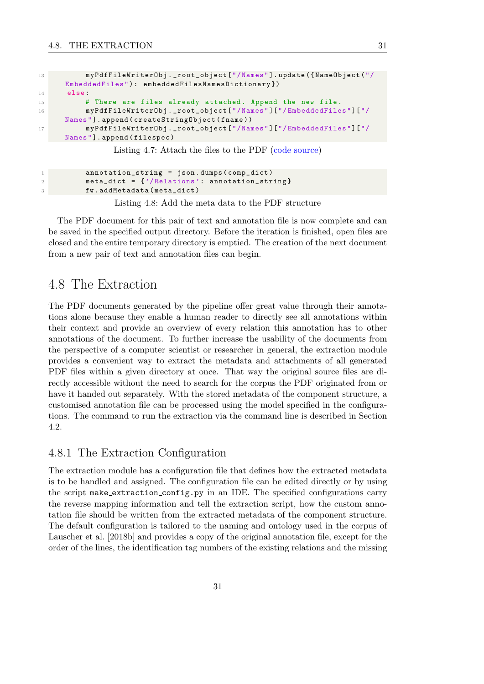```
13 myPdfFileWriterObj._root_object ["/Names"].update ({NameObject ("/
     EmbeddedFiles ") : embeddedFilesNamesDictionary })
14 else:
15 # There are files already attached. Append the new file.
16 myPdfFileWriterObj . _root_object ["/ Names "]["/ EmbeddedFiles "]["/
     Names "]. append ( createStringObject ( fname ) )
17 myPdfFileWriterObj . _root_object ["/ Names "]["/ EmbeddedFiles "]["/
     Names "]. append ( filespec )
```
Listing 4.7: Attach the files to the PDF [\(code source\)](https://stackoverflow.com/a/59085770)

```
1 annotation_string = json.dumps (comp_dict)
2 meta_dict = {'/Relations': annotation_string}
3 fw . addMetadata ( meta_dict )
```
Listing 4.8: Add the meta data to the PDF structure

The PDF document for this pair of text and annotation file is now complete and can be saved in the specified output directory. Before the iteration is finished, open files are closed and the entire temporary directory is emptied. The creation of the next document from a new pair of text and annotation files can begin.

### <span id="page-40-0"></span>4.8 The Extraction

The PDF documents generated by the pipeline offer great value through their annotations alone because they enable a human reader to directly see all annotations within their context and provide an overview of every relation this annotation has to other annotations of the document. To further increase the usability of the documents from the perspective of a computer scientist or researcher in general, the extraction module provides a convenient way to extract the metadata and attachments of all generated PDF files within a given directory at once. That way the original source files are directly accessible without the need to search for the corpus the PDF originated from or have it handed out separately. With the stored metadata of the component structure, a customised annotation file can be processed using the model specified in the configurations. The command to run the extraction via the command line is described in Section [4.2.](#page-27-0)

#### <span id="page-40-1"></span>4.8.1 The Extraction Configuration

The extraction module has a configuration file that defines how the extracted metadata is to be handled and assigned. The configuration file can be edited directly or by using the script make extraction config.py in an IDE. The specified configurations carry the reverse mapping information and tell the extraction script, how the custom annotation file should be written from the extracted metadata of the component structure. The default configuration is tailored to the naming and ontology used in the corpus of [Lauscher et al.](#page-56-4) [\[2018b\]](#page-56-4) and provides a copy of the original annotation file, except for the order of the lines, the identification tag numbers of the existing relations and the missing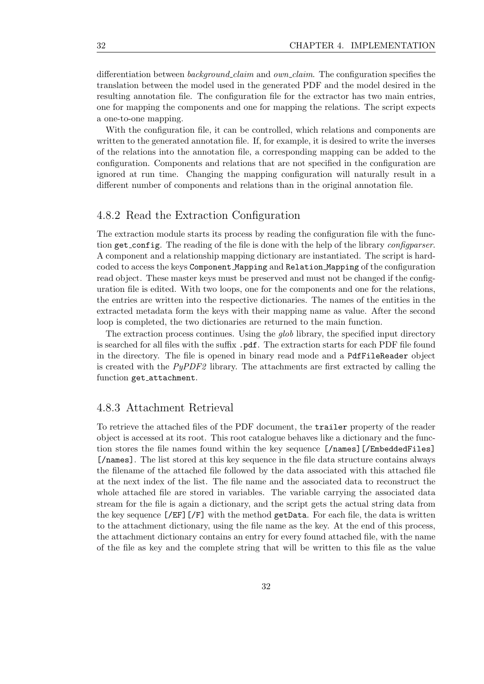differentiation between *background\_claim* and *own\_claim*. The configuration specifies the translation between the model used in the generated PDF and the model desired in the resulting annotation file. The configuration file for the extractor has two main entries, one for mapping the components and one for mapping the relations. The script expects a one-to-one mapping.

With the configuration file, it can be controlled, which relations and components are written to the generated annotation file. If, for example, it is desired to write the inverses of the relations into the annotation file, a corresponding mapping can be added to the configuration. Components and relations that are not specified in the configuration are ignored at run time. Changing the mapping configuration will naturally result in a different number of components and relations than in the original annotation file.

#### <span id="page-41-0"></span>4.8.2 Read the Extraction Configuration

The extraction module starts its process by reading the configuration file with the function get\_config. The reading of the file is done with the help of the library *configuarser*. A component and a relationship mapping dictionary are instantiated. The script is hardcoded to access the keys Component Mapping and Relation Mapping of the configuration read object. These master keys must be preserved and must not be changed if the configuration file is edited. With two loops, one for the components and one for the relations, the entries are written into the respective dictionaries. The names of the entities in the extracted metadata form the keys with their mapping name as value. After the second loop is completed, the two dictionaries are returned to the main function.

The extraction process continues. Using the *glob* library, the specified input directory is searched for all files with the suffix .pdf. The extraction starts for each PDF file found in the directory. The file is opened in binary read mode and a PdfFileReader object is created with the  $PyPDF2$  library. The attachments are first extracted by calling the function get attachment.

#### <span id="page-41-1"></span>4.8.3 Attachment Retrieval

To retrieve the attached files of the PDF document, the trailer property of the reader object is accessed at its root. This root catalogue behaves like a dictionary and the function stores the file names found within the key sequence [/names][/EmbeddedFiles] [/names]. The list stored at this key sequence in the file data structure contains always the filename of the attached file followed by the data associated with this attached file at the next index of the list. The file name and the associated data to reconstruct the whole attached file are stored in variables. The variable carrying the associated data stream for the file is again a dictionary, and the script gets the actual string data from the key sequence  $[\sqrt{EF}][\sqrt{F}]$  with the method getData. For each file, the data is written to the attachment dictionary, using the file name as the key. At the end of this process, the attachment dictionary contains an entry for every found attached file, with the name of the file as key and the complete string that will be written to this file as the value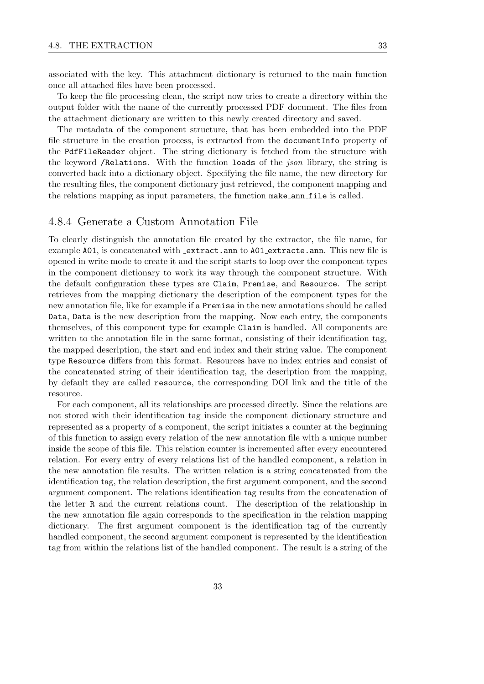associated with the key. This attachment dictionary is returned to the main function once all attached files have been processed.

To keep the file processing clean, the script now tries to create a directory within the output folder with the name of the currently processed PDF document. The files from the attachment dictionary are written to this newly created directory and saved.

The metadata of the component structure, that has been embedded into the PDF file structure in the creation process, is extracted from the documentInfo property of the PdfFileReader object. The string dictionary is fetched from the structure with the keyword /Relations. With the function loads of the json library, the string is converted back into a dictionary object. Specifying the file name, the new directory for the resulting files, the component dictionary just retrieved, the component mapping and the relations mapping as input parameters, the function make ann file is called.

#### <span id="page-42-0"></span>4.8.4 Generate a Custom Annotation File

To clearly distinguish the annotation file created by the extractor, the file name, for example A01, is concatenated with extract.ann to A01 extracte.ann. This new file is opened in write mode to create it and the script starts to loop over the component types in the component dictionary to work its way through the component structure. With the default configuration these types are Claim, Premise, and Resource. The script retrieves from the mapping dictionary the description of the component types for the new annotation file, like for example if a Premise in the new annotations should be called Data, Data is the new description from the mapping. Now each entry, the components themselves, of this component type for example Claim is handled. All components are written to the annotation file in the same format, consisting of their identification tag, the mapped description, the start and end index and their string value. The component type Resource differs from this format. Resources have no index entries and consist of the concatenated string of their identification tag, the description from the mapping, by default they are called resource, the corresponding DOI link and the title of the resource.

For each component, all its relationships are processed directly. Since the relations are not stored with their identification tag inside the component dictionary structure and represented as a property of a component, the script initiates a counter at the beginning of this function to assign every relation of the new annotation file with a unique number inside the scope of this file. This relation counter is incremented after every encountered relation. For every entry of every relations list of the handled component, a relation in the new annotation file results. The written relation is a string concatenated from the identification tag, the relation description, the first argument component, and the second argument component. The relations identification tag results from the concatenation of the letter R and the current relations count. The description of the relationship in the new annotation file again corresponds to the specification in the relation mapping dictionary. The first argument component is the identification tag of the currently handled component, the second argument component is represented by the identification tag from within the relations list of the handled component. The result is a string of the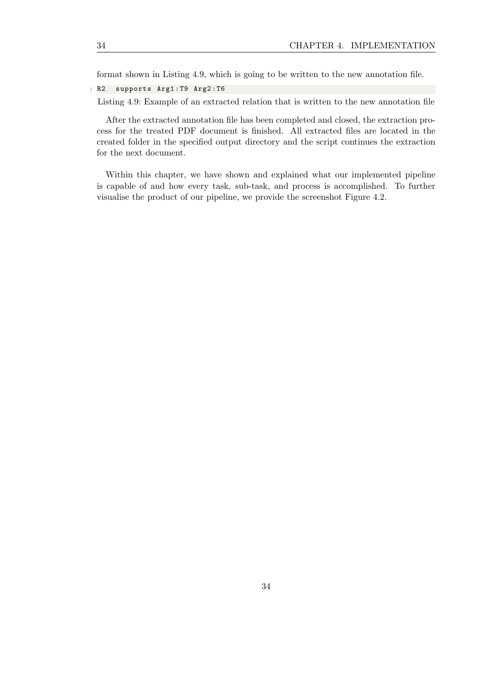format shown in Listing [4.9,](#page-43-0) which is going to be written to the new annotation file.

<span id="page-43-0"></span><sup>1</sup> R2 supports Arg1 : T9 Arg2 : T6

Listing 4.9: Example of an extracted relation that is written to the new annotation file

After the extracted annotation file has been completed and closed, the extraction process for the treated PDF document is finished. All extracted files are located in the created folder in the specified output directory and the script continues the extraction for the next document.

Within this chapter, we have shown and explained what our implemented pipeline is capable of and how every task, sub-task, and process is accomplished. To further visualise the product of our pipeline, we provide the screenshot Figure [4.2.](#page-44-0)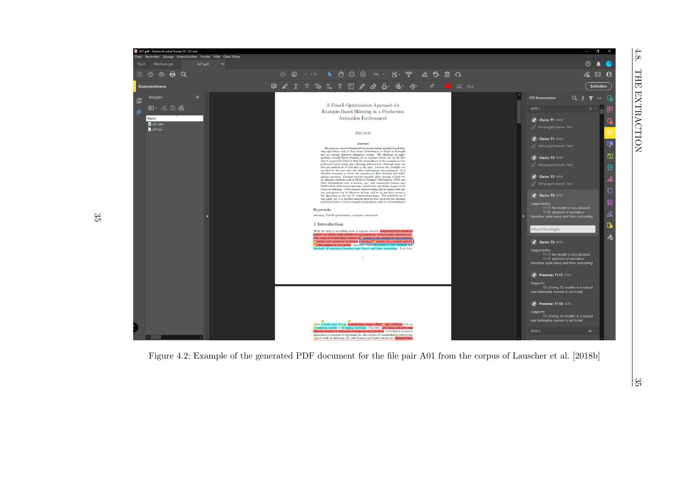<span id="page-44-0"></span>

 $\frac{35}{11}$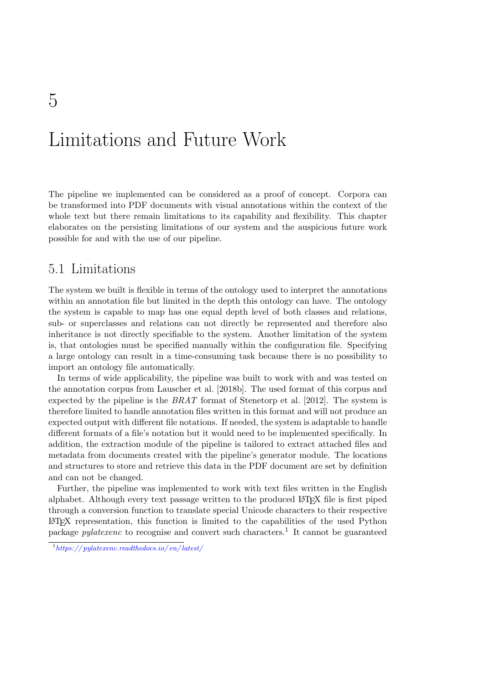# <span id="page-46-0"></span>Limitations and Future Work

The pipeline we implemented can be considered as a proof of concept. Corpora can be transformed into PDF documents with visual annotations within the context of the whole text but there remain limitations to its capability and flexibility. This chapter elaborates on the persisting limitations of our system and the auspicious future work possible for and with the use of our pipeline.

### <span id="page-46-1"></span>5.1 Limitations

The system we built is flexible in terms of the ontology used to interpret the annotations within an annotation file but limited in the depth this ontology can have. The ontology the system is capable to map has one equal depth level of both classes and relations, sub- or superclasses and relations can not directly be represented and therefore also inheritance is not directly specifiable to the system. Another limitation of the system is, that ontologies must be specified manually within the configuration file. Specifying a large ontology can result in a time-consuming task because there is no possibility to import an ontology file automatically.

In terms of wide applicability, the pipeline was built to work with and was tested on the annotation corpus from [Lauscher et al.](#page-56-4) [\[2018b\]](#page-56-4). The used format of this corpus and expected by the pipeline is the  $BRAT$  format of [Stenetorp et al.](#page-57-12) [\[2012\]](#page-57-12). The system is therefore limited to handle annotation files written in this format and will not produce an expected output with different file notations. If needed, the system is adaptable to handle different formats of a file's notation but it would need to be implemented specifically. In addition, the extraction module of the pipeline is tailored to extract attached files and metadata from documents created with the pipeline's generator module. The locations and structures to store and retrieve this data in the PDF document are set by definition and can not be changed.

Further, the pipeline was implemented to work with text files written in the English alphabet. Although every text passage written to the produced LATEX file is first piped through a conversion function to translate special Unicode characters to their respective LATEX representation, this function is limited to the capabilities of the used Python package *pylatexenc* to recognise and convert such characters.<sup>[1](#page-46-2)</sup> It cannot be guaranteed

<span id="page-46-2"></span> $1\,https://pylatexenc.readthedocs.io/en/latest/$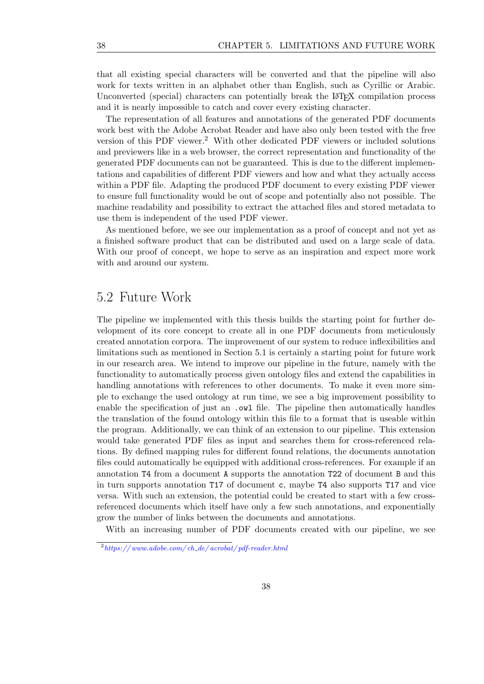that all existing special characters will be converted and that the pipeline will also work for texts written in an alphabet other than English, such as Cyrillic or Arabic. Unconverted (special) characters can potentially break the LATEX compilation process and it is nearly impossible to catch and cover every existing character.

The representation of all features and annotations of the generated PDF documents work best with the Adobe Acrobat Reader and have also only been tested with the free version of this PDF viewer.<sup>[2](#page-47-1)</sup> With other dedicated PDF viewers or included solutions and previewers like in a web browser, the correct representation and functionality of the generated PDF documents can not be guaranteed. This is due to the different implementations and capabilities of different PDF viewers and how and what they actually access within a PDF file. Adapting the produced PDF document to every existing PDF viewer to ensure full functionality would be out of scope and potentially also not possible. The machine readability and possibility to extract the attached files and stored metadata to use them is independent of the used PDF viewer.

As mentioned before, we see our implementation as a proof of concept and not yet as a finished software product that can be distributed and used on a large scale of data. With our proof of concept, we hope to serve as an inspiration and expect more work with and around our system.

### <span id="page-47-0"></span>5.2 Future Work

The pipeline we implemented with this thesis builds the starting point for further development of its core concept to create all in one PDF documents from meticulously created annotation corpora. The improvement of our system to reduce inflexibilities and limitations such as mentioned in Section [5.1](#page-46-1) is certainly a starting point for future work in our research area. We intend to improve our pipeline in the future, namely with the functionality to automatically process given ontology files and extend the capabilities in handling annotations with references to other documents. To make it even more simple to exchange the used ontology at run time, we see a big improvement possibility to enable the specification of just an .owl file. The pipeline then automatically handles the translation of the found ontology within this file to a format that is useable within the program. Additionally, we can think of an extension to our pipeline. This extension would take generated PDF files as input and searches them for cross-referenced relations. By defined mapping rules for different found relations, the documents annotation files could automatically be equipped with additional cross-references. For example if an annotation T4 from a document A supports the annotation T22 of document B and this in turn supports annotation T17 of document c, maybe T4 also supports T17 and vice versa. With such an extension, the potential could be created to start with a few crossreferenced documents which itself have only a few such annotations, and exponentially grow the number of links between the documents and annotations.

With an increasing number of PDF documents created with our pipeline, we see

<span id="page-47-1"></span> $2\,$ https://www.adobe.com/ch\_de/acrobat/pdf-reader.html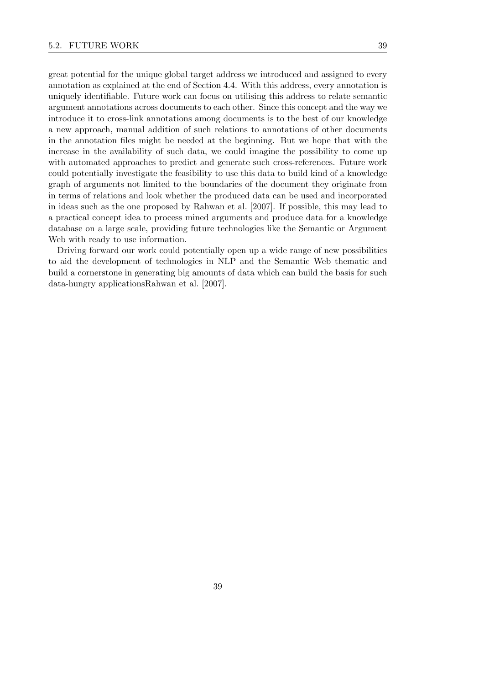great potential for the unique global target address we introduced and assigned to every annotation as explained at the end of Section [4.4.](#page-29-0) With this address, every annotation is uniquely identifiable. Future work can focus on utilising this address to relate semantic argument annotations across documents to each other. Since this concept and the way we introduce it to cross-link annotations among documents is to the best of our knowledge a new approach, manual addition of such relations to annotations of other documents in the annotation files might be needed at the beginning. But we hope that with the increase in the availability of such data, we could imagine the possibility to come up with automated approaches to predict and generate such cross-references. Future work could potentially investigate the feasibility to use this data to build kind of a knowledge graph of arguments not limited to the boundaries of the document they originate from in terms of relations and look whether the produced data can be used and incorporated in ideas such as the one proposed by [Rahwan et al.](#page-57-0) [\[2007\]](#page-57-0). If possible, this may lead to a practical concept idea to process mined arguments and produce data for a knowledge database on a large scale, providing future technologies like the Semantic or Argument Web with ready to use information.

Driving forward our work could potentially open up a wide range of new possibilities to aid the development of technologies in NLP and the Semantic Web thematic and build a cornerstone in generating big amounts of data which can build the basis for such data-hungry application[sRahwan et al.](#page-57-0) [\[2007\]](#page-57-0).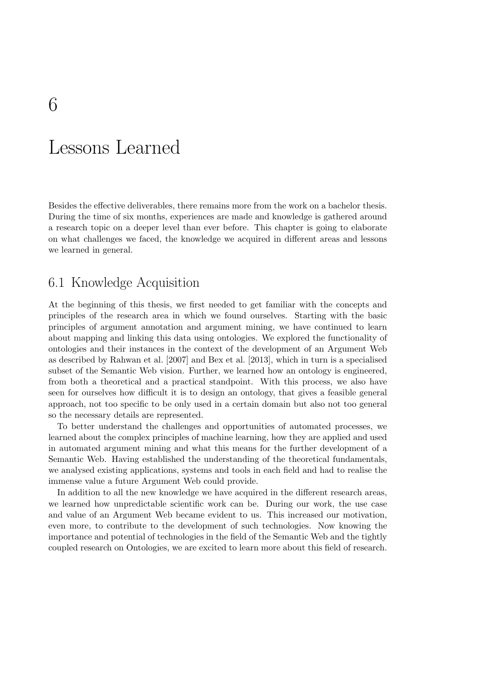# <span id="page-50-0"></span>Lessons Learned

Besides the effective deliverables, there remains more from the work on a bachelor thesis. During the time of six months, experiences are made and knowledge is gathered around a research topic on a deeper level than ever before. This chapter is going to elaborate on what challenges we faced, the knowledge we acquired in different areas and lessons we learned in general.

# <span id="page-50-1"></span>6.1 Knowledge Acquisition

At the beginning of this thesis, we first needed to get familiar with the concepts and principles of the research area in which we found ourselves. Starting with the basic principles of argument annotation and argument mining, we have continued to learn about mapping and linking this data using ontologies. We explored the functionality of ontologies and their instances in the context of the development of an Argument Web as described by [Rahwan et al.](#page-57-0) [\[2007\]](#page-57-0) and [Bex et al.](#page-56-5) [\[2013\]](#page-56-5), which in turn is a specialised subset of the Semantic Web vision. Further, we learned how an ontology is engineered, from both a theoretical and a practical standpoint. With this process, we also have seen for ourselves how difficult it is to design an ontology, that gives a feasible general approach, not too specific to be only used in a certain domain but also not too general so the necessary details are represented.

To better understand the challenges and opportunities of automated processes, we learned about the complex principles of machine learning, how they are applied and used in automated argument mining and what this means for the further development of a Semantic Web. Having established the understanding of the theoretical fundamentals, we analysed existing applications, systems and tools in each field and had to realise the immense value a future Argument Web could provide.

In addition to all the new knowledge we have acquired in the different research areas, we learned how unpredictable scientific work can be. During our work, the use case and value of an Argument Web became evident to us. This increased our motivation, even more, to contribute to the development of such technologies. Now knowing the importance and potential of technologies in the field of the Semantic Web and the tightly coupled research on Ontologies, we are excited to learn more about this field of research.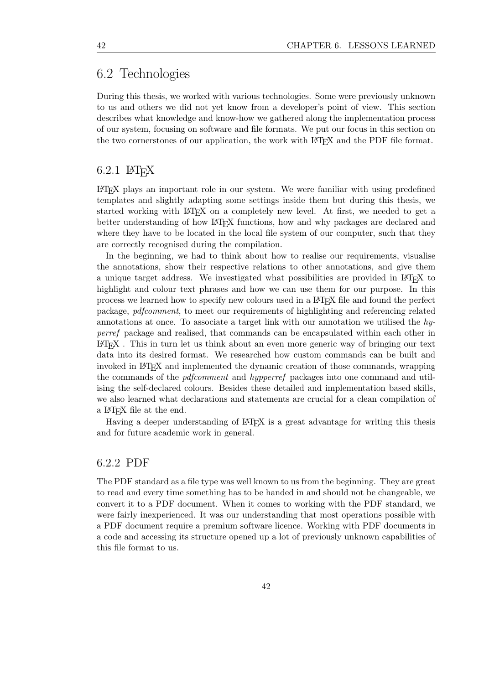### <span id="page-51-0"></span>6.2 Technologies

During this thesis, we worked with various technologies. Some were previously unknown to us and others we did not yet know from a developer's point of view. This section describes what knowledge and know-how we gathered along the implementation process of our system, focusing on software and file formats. We put our focus in this section on the two cornerstones of our application, the work with LAT<sub>E</sub>X and the PDF file format.

#### <span id="page-51-1"></span> $6.2.1$  LAT<sub>F</sub>X

LATEX plays an important role in our system. We were familiar with using predefined templates and slightly adapting some settings inside them but during this thesis, we started working with LATEX on a completely new level. At first, we needed to get a better understanding of how LAT<sub>EX</sub> functions, how and why packages are declared and where they have to be located in the local file system of our computer, such that they are correctly recognised during the compilation.

In the beginning, we had to think about how to realise our requirements, visualise the annotations, show their respective relations to other annotations, and give them a unique target address. We investigated what possibilities are provided in LAT<sub>EX</sub> to highlight and colour text phrases and how we can use them for our purpose. In this process we learned how to specify new colours used in a LATEX file and found the perfect package, pdfcomment, to meet our requirements of highlighting and referencing related annotations at once. To associate a target link with our annotation we utilised the hyperref package and realised, that commands can be encapsulated within each other in LATEX . This in turn let us think about an even more generic way of bringing our text data into its desired format. We researched how custom commands can be built and invoked in LATEX and implemented the dynamic creation of those commands, wrapping the commands of the *pdfcomment* and *hypperref* packages into one command and utilising the self-declared colours. Besides these detailed and implementation based skills, we also learned what declarations and statements are crucial for a clean compilation of a LATEX file at the end.

Having a deeper understanding of LAT<sub>EX</sub> is a great advantage for writing this thesis and for future academic work in general.

#### <span id="page-51-2"></span>6.2.2 PDF

The PDF standard as a file type was well known to us from the beginning. They are great to read and every time something has to be handed in and should not be changeable, we convert it to a PDF document. When it comes to working with the PDF standard, we were fairly inexperienced. It was our understanding that most operations possible with a PDF document require a premium software licence. Working with PDF documents in a code and accessing its structure opened up a lot of previously unknown capabilities of this file format to us.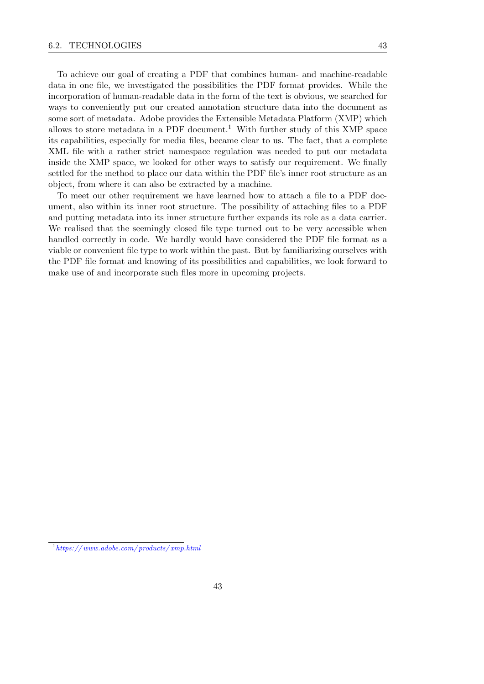To achieve our goal of creating a PDF that combines human- and machine-readable data in one file, we investigated the possibilities the PDF format provides. While the incorporation of human-readable data in the form of the text is obvious, we searched for ways to conveniently put our created annotation structure data into the document as some sort of metadata. Adobe provides the Extensible Metadata Platform (XMP) which allows to store metadata in a PDF document.<sup>[1](#page-52-0)</sup> With further study of this XMP space its capabilities, especially for media files, became clear to us. The fact, that a complete XML file with a rather strict namespace regulation was needed to put our metadata inside the XMP space, we looked for other ways to satisfy our requirement. We finally settled for the method to place our data within the PDF file's inner root structure as an object, from where it can also be extracted by a machine.

To meet our other requirement we have learned how to attach a file to a PDF document, also within its inner root structure. The possibility of attaching files to a PDF and putting metadata into its inner structure further expands its role as a data carrier. We realised that the seemingly closed file type turned out to be very accessible when handled correctly in code. We hardly would have considered the PDF file format as a viable or convenient file type to work within the past. But by familiarizing ourselves with the PDF file format and knowing of its possibilities and capabilities, we look forward to make use of and incorporate such files more in upcoming projects.

<span id="page-52-0"></span> $1\,$ https://www.adobe.com/products/xmp.html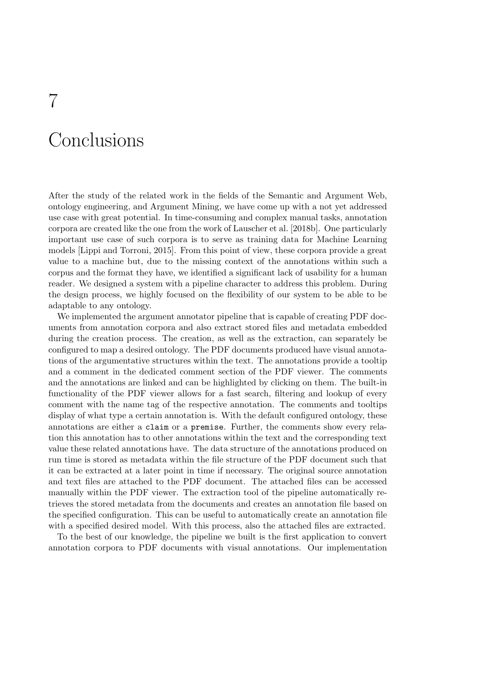# <span id="page-54-0"></span>Conclusions

After the study of the related work in the fields of the Semantic and Argument Web, ontology engineering, and Argument Mining, we have come up with a not yet addressed use case with great potential. In time-consuming and complex manual tasks, annotation corpora are created like the one from the work of [Lauscher et al.](#page-56-4) [\[2018b\]](#page-56-4). One particularly important use case of such corpora is to serve as training data for Machine Learning models [\[Lippi and Torroni,](#page-56-3) [2015\]](#page-56-3). From this point of view, these corpora provide a great value to a machine but, due to the missing context of the annotations within such a corpus and the format they have, we identified a significant lack of usability for a human reader. We designed a system with a pipeline character to address this problem. During the design process, we highly focused on the flexibility of our system to be able to be adaptable to any ontology.

We implemented the argument annotator pipeline that is capable of creating PDF documents from annotation corpora and also extract stored files and metadata embedded during the creation process. The creation, as well as the extraction, can separately be configured to map a desired ontology. The PDF documents produced have visual annotations of the argumentative structures within the text. The annotations provide a tooltip and a comment in the dedicated comment section of the PDF viewer. The comments and the annotations are linked and can be highlighted by clicking on them. The built-in functionality of the PDF viewer allows for a fast search, filtering and lookup of every comment with the name tag of the respective annotation. The comments and tooltips display of what type a certain annotation is. With the default configured ontology, these annotations are either a claim or a premise. Further, the comments show every relation this annotation has to other annotations within the text and the corresponding text value these related annotations have. The data structure of the annotations produced on run time is stored as metadata within the file structure of the PDF document such that it can be extracted at a later point in time if necessary. The original source annotation and text files are attached to the PDF document. The attached files can be accessed manually within the PDF viewer. The extraction tool of the pipeline automatically retrieves the stored metadata from the documents and creates an annotation file based on the specified configuration. This can be useful to automatically create an annotation file with a specified desired model. With this process, also the attached files are extracted.

To the best of our knowledge, the pipeline we built is the first application to convert annotation corpora to PDF documents with visual annotations. Our implementation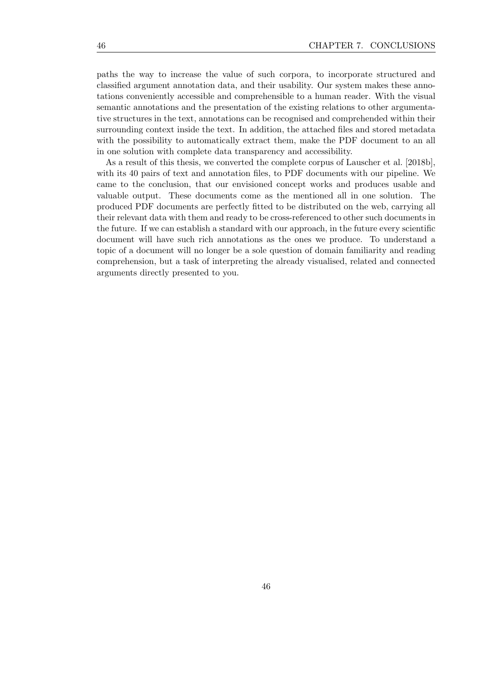paths the way to increase the value of such corpora, to incorporate structured and classified argument annotation data, and their usability. Our system makes these annotations conveniently accessible and comprehensible to a human reader. With the visual semantic annotations and the presentation of the existing relations to other argumentative structures in the text, annotations can be recognised and comprehended within their surrounding context inside the text. In addition, the attached files and stored metadata with the possibility to automatically extract them, make the PDF document to an all in one solution with complete data transparency and accessibility.

As a result of this thesis, we converted the complete corpus of [Lauscher et al.](#page-56-4) [\[2018b\]](#page-56-4), with its 40 pairs of text and annotation files, to PDF documents with our pipeline. We came to the conclusion, that our envisioned concept works and produces usable and valuable output. These documents come as the mentioned all in one solution. The produced PDF documents are perfectly fitted to be distributed on the web, carrying all their relevant data with them and ready to be cross-referenced to other such documents in the future. If we can establish a standard with our approach, in the future every scientific document will have such rich annotations as the ones we produce. To understand a topic of a document will no longer be a sole question of domain familiarity and reading comprehension, but a task of interpreting the already visualised, related and connected arguments directly presented to you.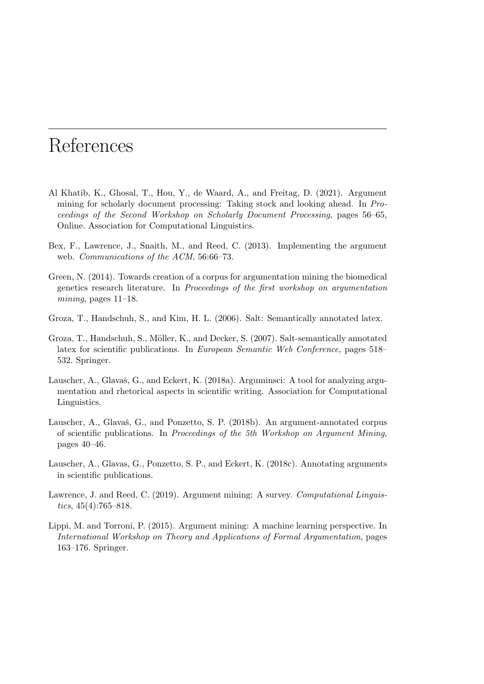# <span id="page-56-10"></span>References

- <span id="page-56-1"></span>Al Khatib, K., Ghosal, T., Hou, Y., de Waard, A., and Freitag, D. (2021). Argument mining for scholarly document processing: Taking stock and looking ahead. In Proceedings of the Second Workshop on Scholarly Document Processing, pages 56–65, Online. Association for Computational Linguistics.
- <span id="page-56-5"></span>Bex, F., Lawrence, J., Snaith, M., and Reed, C. (2013). Implementing the argument web. *Communications of the ACM*, 56:66–73.
- <span id="page-56-8"></span>Green, N. (2014). Towards creation of a corpus for argumentation mining the biomedical genetics research literature. In Proceedings of the first workshop on argumentation mining, pages  $11-18$ .
- <span id="page-56-6"></span>Groza, T., Handschuh, S., and Kim, H. L. (2006). Salt: Semantically annotated latex.
- <span id="page-56-2"></span>Groza, T., Handschuh, S., Möller, K., and Decker, S. (2007). Salt-semantically annotated latex for scientific publications. In European Semantic Web Conference, pages 518– 532. Springer.
- <span id="page-56-9"></span>Lauscher, A., Glavaš, G., and Eckert, K. (2018a). Arguminsci: A tool for analyzing argumentation and rhetorical aspects in scientific writing. Association for Computational Linguistics.
- <span id="page-56-4"></span>Lauscher, A., Glavaš, G., and Ponzetto, S. P. (2018b). An argument-annotated corpus of scientific publications. In Proceedings of the 5th Workshop on Argument Mining, pages 40–46.
- <span id="page-56-7"></span>Lauscher, A., Glavas, G., Ponzetto, S. P., and Eckert, K. (2018c). Annotating arguments in scientific publications.
- <span id="page-56-0"></span>Lawrence, J. and Reed, C. (2019). Argument mining: A survey. Computational Linguistics,  $45(4)$ :765–818.
- <span id="page-56-3"></span>Lippi, M. and Torroni, P. (2015). Argument mining: A machine learning perspective. In International Workshop on Theory and Applications of Formal Argumentation, pages 163–176. Springer.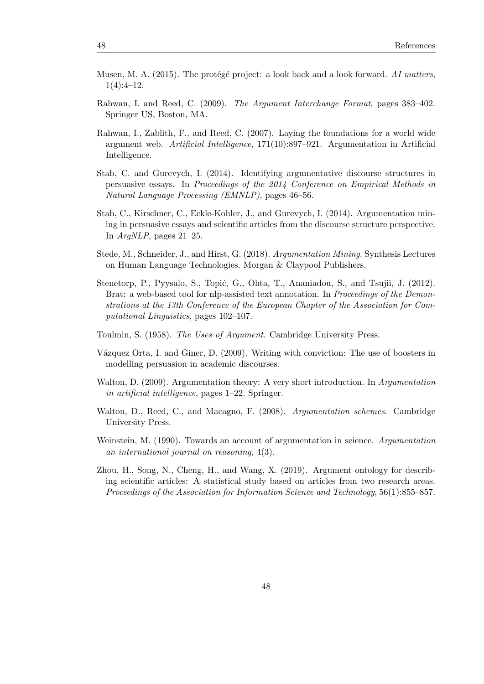- <span id="page-57-11"></span>Musen, M. A. (2015). The protégé project: a look back and a look forward. AI matters,  $1(4):4-12.$
- <span id="page-57-5"></span>Rahwan, I. and Reed, C. (2009). The Argument Interchange Format, pages 383–402. Springer US, Boston, MA.
- <span id="page-57-0"></span>Rahwan, I., Zablith, F., and Reed, C. (2007). Laying the foundations for a world wide argument web. Artificial Intelligence, 171(10):897–921. Argumentation in Artificial Intelligence.
- <span id="page-57-2"></span>Stab, C. and Gurevych, I. (2014). Identifying argumentative discourse structures in persuasive essays. In Proceedings of the 2014 Conference on Empirical Methods in Natural Language Processing (EMNLP), pages 46–56.
- <span id="page-57-9"></span>Stab, C., Kirschner, C., Eckle-Kohler, J., and Gurevych, I. (2014). Argumentation mining in persuasive essays and scientific articles from the discourse structure perspective. In ArgNLP, pages 21–25.
- <span id="page-57-6"></span>Stede, M., Schneider, J., and Hirst, G. (2018). Argumentation Mining. Synthesis Lectures on Human Language Technologies. Morgan & Claypool Publishers.
- <span id="page-57-12"></span>Stenetorp, P., Pyysalo, S., Topić, G., Ohta, T., Ananiadou, S., and Tsujii, J. (2012). Brat: a web-based tool for nlp-assisted text annotation. In *Proceedings of the Demon*strations at the 13th Conference of the European Chapter of the Association for Computational Linguistics, pages 102–107.
- <span id="page-57-1"></span>Toulmin, S. (1958). The Uses of Argument. Cambridge University Press.
- <span id="page-57-10"></span>Vázquez Orta, I. and Giner, D. (2009). Writing with conviction: The use of boosters in modelling persuasion in academic discourses.
- <span id="page-57-3"></span>Walton, D. (2009). Argumentation theory: A very short introduction. In Argumentation in artificial intelligence, pages 1–22. Springer.
- <span id="page-57-7"></span>Walton, D., Reed, C., and Macagno, F. (2008). Argumentation schemes. Cambridge University Press.
- <span id="page-57-8"></span>Weinstein, M. (1990). Towards an account of argumentation in science. Argumentation an international journal on reasoning, 4(3).
- <span id="page-57-4"></span>Zhou, H., Song, N., Cheng, H., and Wang, X. (2019). Argument ontology for describing scientific articles: A statistical study based on articles from two research areas. Proceedings of the Association for Information Science and Technology, 56(1):855–857.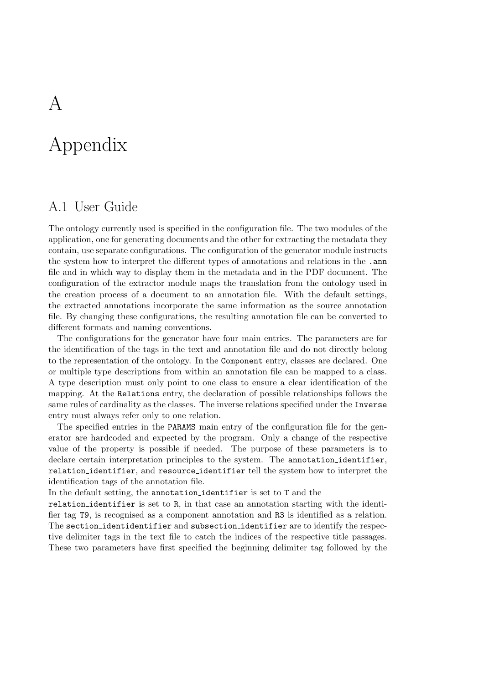# <span id="page-58-0"></span>Appendix

## <span id="page-58-1"></span>A.1 User Guide

The ontology currently used is specified in the configuration file. The two modules of the application, one for generating documents and the other for extracting the metadata they contain, use separate configurations. The configuration of the generator module instructs the system how to interpret the different types of annotations and relations in the .ann file and in which way to display them in the metadata and in the PDF document. The configuration of the extractor module maps the translation from the ontology used in the creation process of a document to an annotation file. With the default settings, the extracted annotations incorporate the same information as the source annotation file. By changing these configurations, the resulting annotation file can be converted to different formats and naming conventions.

The configurations for the generator have four main entries. The parameters are for the identification of the tags in the text and annotation file and do not directly belong to the representation of the ontology. In the Component entry, classes are declared. One or multiple type descriptions from within an annotation file can be mapped to a class. A type description must only point to one class to ensure a clear identification of the mapping. At the Relations entry, the declaration of possible relationships follows the same rules of cardinality as the classes. The inverse relations specified under the Inverse entry must always refer only to one relation.

The specified entries in the PARAMS main entry of the configuration file for the generator are hardcoded and expected by the program. Only a change of the respective value of the property is possible if needed. The purpose of these parameters is to declare certain interpretation principles to the system. The annotation identifier, relation identifier, and resource identifier tell the system how to interpret the identification tags of the annotation file.

In the default setting, the annotation identifier is set to T and the

relation identifier is set to R, in that case an annotation starting with the identifier tag T9, is recognised as a component annotation and R3 is identified as a relation. The section identidentifier and subsection identifier are to identify the respective delimiter tags in the text file to catch the indices of the respective title passages. These two parameters have first specified the beginning delimiter tag followed by the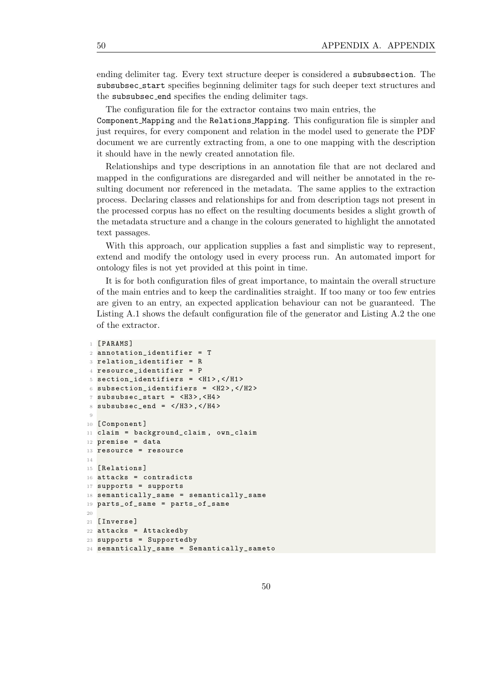ending delimiter tag. Every text structure deeper is considered a subsubsection. The subsubsec start specifies beginning delimiter tags for such deeper text structures and the subsubsec end specifies the ending delimiter tags.

The configuration file for the extractor contains two main entries, the

Component Mapping and the Relations Mapping. This configuration file is simpler and just requires, for every component and relation in the model used to generate the PDF document we are currently extracting from, a one to one mapping with the description it should have in the newly created annotation file.

Relationships and type descriptions in an annotation file that are not declared and mapped in the configurations are disregarded and will neither be annotated in the resulting document nor referenced in the metadata. The same applies to the extraction process. Declaring classes and relationships for and from description tags not present in the processed corpus has no effect on the resulting documents besides a slight growth of the metadata structure and a change in the colours generated to highlight the annotated text passages.

With this approach, our application supplies a fast and simplistic way to represent. extend and modify the ontology used in every process run. An automated import for ontology files is not yet provided at this point in time.

It is for both configuration files of great importance, to maintain the overall structure of the main entries and to keep the cardinalities straight. If too many or too few entries are given to an entry, an expected application behaviour can not be guaranteed. The Listing [A.1](#page-59-0) shows the default configuration file of the generator and Listing [A.2](#page-60-1) the one of the extractor.

```
1 [ PARAMS ]
2 annotation_identifier = T
3 relation_identifier = R
4 resource_identifier = P
5 section identifiers = \langle H1 \rangle, \langle H1 \rangle6 subsection_identifiers = \langle H2 \rangle, \langle H2 \rangle7 subsubsec_start = \langleH3>,\langleH4>
8 subsubsec_end = \langle/H3>,\langle/H4>
 9
10 [ Component ]
11 claim = background_claim , own_claim
12 premise = data
13 resource = resource
14
15 [ Relations ]
16 attacks = contradicts
17 supports = supports
18 semantically same = semantically same
19 parts_of_same = parts_of_same
2021 [ Inverse ]
22 attacks = Attackedby
23 supports = Supportedby
24 semantically_same = Semantically_sameto
```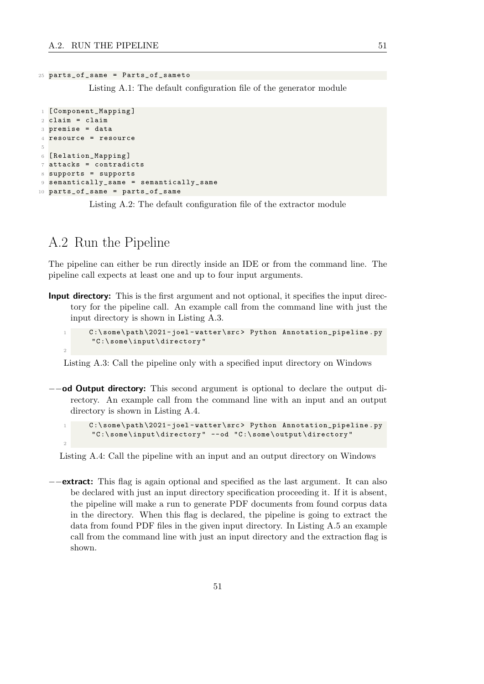#### <sup>25</sup> parts\_of\_same = Parts\_of\_sameto

Listing A.1: The default configuration file of the generator module

```
1 [ Component_Mapping ]
2 claim = claim
3 premise = data
4 resource = resource
5
6 [ Relation_Mapping ]
7 attacks = contradicts
8 supports = supports
9 semantically_same = semantically_same
10 parts_of_same = parts_of_same
```
Listing A.2: The default configuration file of the extractor module

### <span id="page-60-0"></span>A.2 Run the Pipeline

2

2

The pipeline can either be run directly inside an IDE or from the command line. The pipeline call expects at least one and up to four input arguments.

**Input directory:** This is the first argument and not optional, it specifies the input directory for the pipeline call. An example call from the command line with just the input directory is shown in Listing [A.3.](#page-60-2)

```
C:\some\path\2021-joel-watter\src> Python Annotation_pipeline.py
" C :\ some \ input \ directory "
```
Listing A.3: Call the pipeline only with a specified input directory on Windows

−−od Output directory: This second argument is optional to declare the output directory. An example call from the command line with an input and an output directory is shown in Listing [A.4.](#page-60-3)

```
C:\some\path\2021-joel-watter\src> Python Annotation_pipeline.py
" C :\ some \ input \ directory " -- od " C :\ some \ output \ directory "
```
Listing A.4: Call the pipeline with an input and an output directory on Windows

−−extract: This flag is again optional and specified as the last argument. It can also be declared with just an input directory specification proceeding it. If it is absent, the pipeline will make a run to generate PDF documents from found corpus data in the directory. When this flag is declared, the pipeline is going to extract the data from found PDF files in the given input directory. In Listing [A.5](#page-61-1) an example call from the command line with just an input directory and the extraction flag is shown.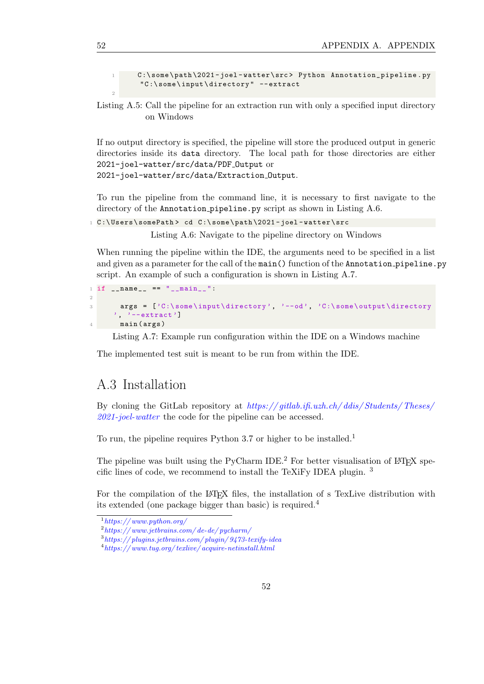<span id="page-61-1"></span>C:\some\path\2021-joel-watter\src> Python Annotation\_pipeline.py " C :\ some \ input \ directory " -- extract



If no output directory is specified, the pipeline will store the produced output in generic directories inside its data directory. The local path for those directories are either 2021-joel-watter/src/data/PDF Output or 2021-joel-watter/src/data/Extraction Output.

To run the pipeline from the command line, it is necessary to first navigate to the directory of the Annotation pipeline.py script as shown in Listing [A.6.](#page-61-2)

```
1 C:\Users\somePath> cd C:\some\path\2021-joel-watter\src
```
Listing A.6: Navigate to the pipeline directory on Windows

When running the pipeline within the IDE, the arguments need to be specified in a list and given as a parameter for the call of the main() function of the Annotation pipeline.py script. An example of such a configuration is shown in Listing [A.7.](#page-61-3)

```
1 if \text{__name} == "\text{__main} \text{__}}":
\overline{2}3 args = ['C:\some\input\directory', '--od', 'C:\some\output\directory
       \prime, \prime --extract']
        main (args)
```
Listing A.7: Example run configuration within the IDE on a Windows machine

The implemented test suit is meant to be run from within the IDE.

### <span id="page-61-0"></span>A.3 Installation

By cloning the GitLab repository at  $\frac{https://github.com/1}{a}$ .ch/ $\frac{d}{dis}/\frac{Students}{Theses}/$ [2021-joel-watter](https://gitlab.ifi.uzh.ch/ddis/Students/Theses/2021-joel-watter) the code for the pipeline can be accessed.

To run, the pipeline requires Python 3.7 or higher to be installed.<sup>[1](#page-61-4)</sup>

The pipeline was built using the PyCharm IDE.<sup>[2](#page-61-5)</sup> For better visualisation of LAT<sub>E</sub>X specific lines of code, we recommend to install the TeXiFy IDEA plugin. [3](#page-61-6)

For the compilation of the LATEX files, the installation of s TexLive distribution with its extended (one package bigger than basic) is required.[4](#page-61-7)

2

<span id="page-61-4"></span> $1$ https://www.python.org/

<span id="page-61-5"></span> $2$ https://www.jetbrains.com/de-de/pycharm/

<span id="page-61-6"></span> $^3$ https://plugins.jetbrains.com/plugin/9473-texify-idea

<span id="page-61-7"></span> $^4$ https://www.tug.org/texlive/acquire-netinstall.html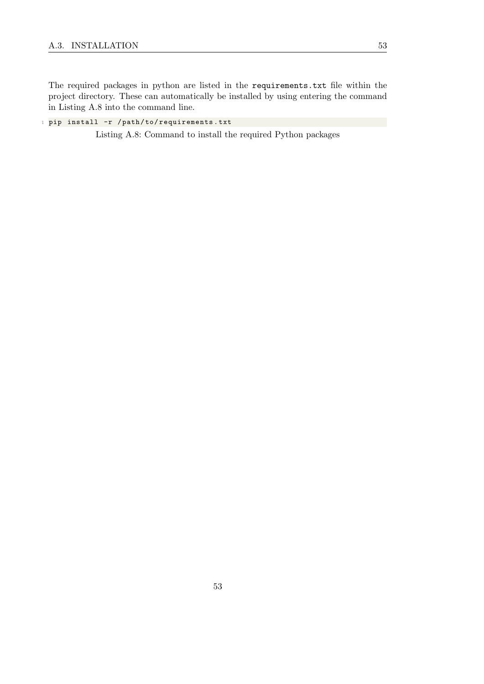The required packages in python are listed in the requirements.txt file within the project directory. These can automatically be installed by using entering the command in Listing [A.8](#page-62-0) into the command line.

<span id="page-62-0"></span><sup>1</sup> pip install -r / path / to / requirements . txt

Listing A.8: Command to install the required Python packages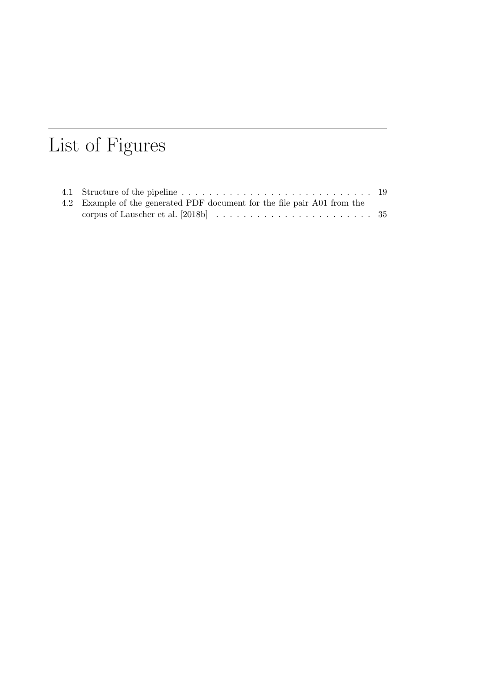# List of Figures

| 4.2 Example of the generated PDF document for the file pair A01 from the |  |
|--------------------------------------------------------------------------|--|
|                                                                          |  |